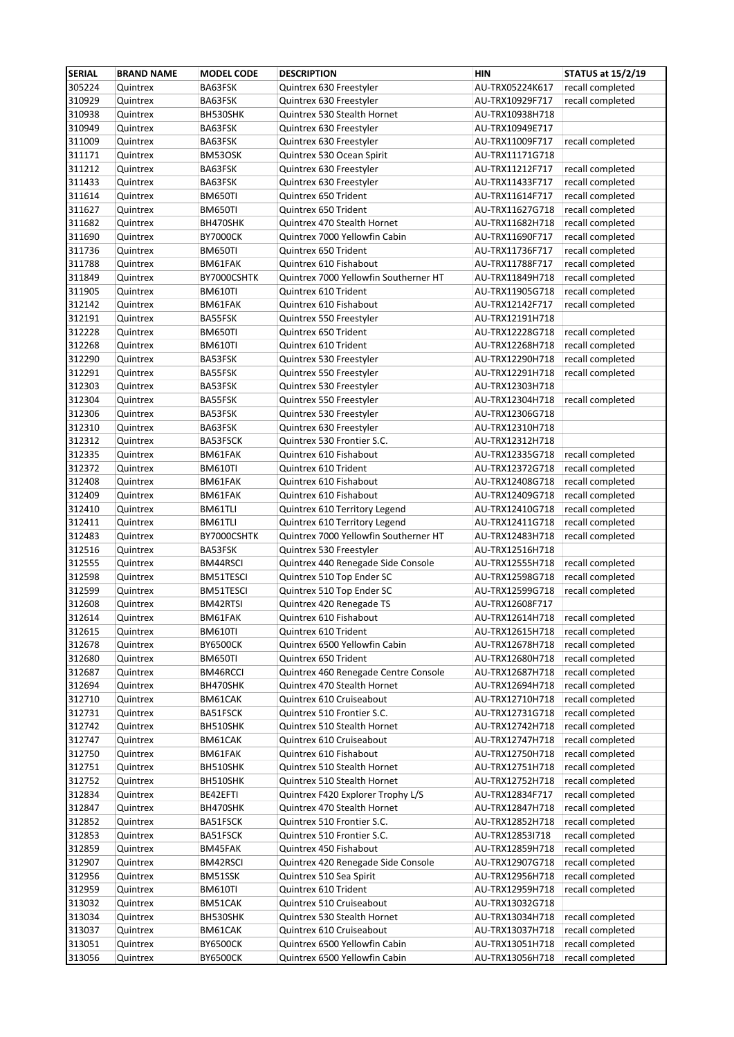| <b>SERIAL</b>    | <b>BRAND NAME</b>    | <b>MODEL CODE</b>    | <b>DESCRIPTION</b>                                      | <b>HIN</b>                         | <b>STATUS at 15/2/19</b>             |
|------------------|----------------------|----------------------|---------------------------------------------------------|------------------------------------|--------------------------------------|
| 305224           | Quintrex             | BA63FSK              | Quintrex 630 Freestyler                                 | AU-TRX05224K617                    | recall completed                     |
| 310929           | Quintrex             | BA63FSK              | Quintrex 630 Freestyler                                 | AU-TRX10929F717                    | recall completed                     |
| 310938           | Quintrex             | BH530SHK             | Quintrex 530 Stealth Hornet                             | AU-TRX10938H718                    |                                      |
| 310949           | Quintrex             | BA63FSK              | Quintrex 630 Freestyler                                 | AU-TRX10949E717                    |                                      |
| 311009           | Quintrex             | BA63FSK              | Quintrex 630 Freestyler                                 | AU-TRX11009F717                    | recall completed                     |
| 311171           | Quintrex             | BM53OSK              | Quintrex 530 Ocean Spirit                               | AU-TRX11171G718                    |                                      |
| 311212           | Quintrex             | BA63FSK              | Quintrex 630 Freestyler                                 | AU-TRX11212F717                    | recall completed                     |
| 311433           | Quintrex             | BA63FSK              | Quintrex 630 Freestyler                                 | AU-TRX11433F717                    | recall completed                     |
| 311614           | Quintrex             | BM650TI              | Quintrex 650 Trident                                    | AU-TRX11614F717                    | recall completed                     |
| 311627           | Quintrex             | BM650TI              | Quintrex 650 Trident                                    | AU-TRX11627G718                    | recall completed                     |
| 311682           | Quintrex             | BH470SHK             | Quintrex 470 Stealth Hornet                             | AU-TRX11682H718                    | recall completed                     |
| 311690           | Quintrex             | <b>BY7000CK</b>      | Quintrex 7000 Yellowfin Cabin                           | AU-TRX11690F717                    | recall completed                     |
| 311736           | Quintrex             | BM650TI              | Quintrex 650 Trident                                    | AU-TRX11736F717                    | recall completed                     |
| 311788           | Quintrex             | BM61FAK              | Quintrex 610 Fishabout                                  | AU-TRX11788F717                    | recall completed                     |
| 311849           | Quintrex             | BY7000CSHTK          | Quintrex 7000 Yellowfin Southerner HT                   | AU-TRX11849H718                    | recall completed                     |
| 311905           | Quintrex             | <b>BM610TI</b>       | Quintrex 610 Trident                                    | AU-TRX11905G718                    | recall completed                     |
| 312142           | Quintrex             | BM61FAK              | Quintrex 610 Fishabout                                  | AU-TRX12142F717                    | recall completed                     |
| 312191           | Quintrex             | BA55FSK              | Quintrex 550 Freestyler                                 | AU-TRX12191H718                    |                                      |
| 312228<br>312268 | Quintrex             | BM650TI              | Quintrex 650 Trident                                    | AU-TRX12228G718                    | recall completed                     |
| 312290           | Quintrex             | <b>BM610TI</b>       | Quintrex 610 Trident                                    | AU-TRX12268H718<br>AU-TRX12290H718 | recall completed<br>recall completed |
| 312291           | Quintrex<br>Quintrex | BA53FSK<br>BA55FSK   | Quintrex 530 Freestyler<br>Quintrex 550 Freestyler      | AU-TRX12291H718                    | recall completed                     |
| 312303           | Quintrex             | BA53FSK              | Quintrex 530 Freestyler                                 | AU-TRX12303H718                    |                                      |
| 312304           | Quintrex             | BA55FSK              | Quintrex 550 Freestyler                                 | AU-TRX12304H718                    | recall completed                     |
| 312306           | Quintrex             | BA53FSK              | Quintrex 530 Freestyler                                 | AU-TRX12306G718                    |                                      |
| 312310           | Quintrex             | BA63FSK              | Quintrex 630 Freestyler                                 | AU-TRX12310H718                    |                                      |
| 312312           | Quintrex             | BA53FSCK             | Quintrex 530 Frontier S.C.                              | AU-TRX12312H718                    |                                      |
| 312335           | Quintrex             | BM61FAK              | Quintrex 610 Fishabout                                  | AU-TRX12335G718                    | recall completed                     |
| 312372           | Quintrex             | <b>BM610TI</b>       | Quintrex 610 Trident                                    | AU-TRX12372G718                    | recall completed                     |
| 312408           | Quintrex             | BM61FAK              | Quintrex 610 Fishabout                                  | AU-TRX12408G718                    | recall completed                     |
| 312409           | Quintrex             | BM61FAK              | Quintrex 610 Fishabout                                  | AU-TRX12409G718                    | recall completed                     |
| 312410           | Quintrex             | BM61TLI              | Quintrex 610 Territory Legend                           | AU-TRX12410G718                    | recall completed                     |
| 312411           | Quintrex             | BM61TLI              | Quintrex 610 Territory Legend                           | AU-TRX12411G718                    | recall completed                     |
| 312483           | Quintrex             | BY7000CSHTK          | Quintrex 7000 Yellowfin Southerner HT                   | AU-TRX12483H718                    | recall completed                     |
| 312516           | Quintrex             | BA53FSK              | Quintrex 530 Freestyler                                 | AU-TRX12516H718                    |                                      |
| 312555           | Quintrex             | BM44RSCI             | Quintrex 440 Renegade Side Console                      | AU-TRX12555H718                    | recall completed                     |
| 312598           | Quintrex             | BM51TESCI            | Quintrex 510 Top Ender SC                               | AU-TRX12598G718                    | recall completed                     |
| 312599           | Quintrex             | BM51TESCI            | Quintrex 510 Top Ender SC                               | AU-TRX12599G718                    | recall completed                     |
| 312608           | Quintrex             | BM42RTSI             | Quintrex 420 Renegade TS                                | AU-TRX12608F717                    |                                      |
| 312614           | Quintrex             | BM61FAK              | Quintrex 610 Fishabout                                  | AU-TRX12614H718   recall completed |                                      |
| 312615           | Quintrex             | BM610TI              | Quintrex 610 Trident                                    | AU-TRX12615H718                    | recall completed                     |
| 312678           | Quintrex             | <b>BY6500CK</b>      | Quintrex 6500 Yellowfin Cabin                           | AU-TRX12678H718                    | recall completed                     |
| 312680           | Quintrex             | BM650TI              | Quintrex 650 Trident                                    | AU-TRX12680H718                    | recall completed                     |
| 312687           | Quintrex             | BM46RCCI<br>BH470SHK | Quintrex 460 Renegade Centre Console                    | AU-TRX12687H718<br>AU-TRX12694H718 | recall completed                     |
| 312694<br>312710 | Quintrex<br>Quintrex | BM61CAK              | Quintrex 470 Stealth Hornet<br>Quintrex 610 Cruiseabout | AU-TRX12710H718                    | recall completed<br>recall completed |
| 312731           | Quintrex             | BA51FSCK             | Quintrex 510 Frontier S.C.                              | AU-TRX12731G718                    | recall completed                     |
| 312742           | Quintrex             | BH510SHK             | Quintrex 510 Stealth Hornet                             | AU-TRX12742H718                    | recall completed                     |
| 312747           | Quintrex             | BM61CAK              | Quintrex 610 Cruiseabout                                | AU-TRX12747H718                    | recall completed                     |
| 312750           | Quintrex             | BM61FAK              | Quintrex 610 Fishabout                                  | AU-TRX12750H718                    | recall completed                     |
| 312751           | Quintrex             | BH510SHK             | Quintrex 510 Stealth Hornet                             | AU-TRX12751H718                    | recall completed                     |
| 312752           | Quintrex             | BH510SHK             | Quintrex 510 Stealth Hornet                             | AU-TRX12752H718                    | recall completed                     |
| 312834           | Quintrex             | BE42EFTI             | Quintrex F420 Explorer Trophy L/S                       | AU-TRX12834F717                    | recall completed                     |
| 312847           | Quintrex             | BH470SHK             | Quintrex 470 Stealth Hornet                             | AU-TRX12847H718                    | recall completed                     |
| 312852           | Quintrex             | BA51FSCK             | Quintrex 510 Frontier S.C.                              | AU-TRX12852H718                    | recall completed                     |
| 312853           | Quintrex             | BA51FSCK             | Quintrex 510 Frontier S.C.                              | AU-TRX12853I718                    | recall completed                     |
| 312859           | Quintrex             | BM45FAK              | Quintrex 450 Fishabout                                  | AU-TRX12859H718                    | recall completed                     |
| 312907           | Quintrex             | BM42RSCI             | Quintrex 420 Renegade Side Console                      | AU-TRX12907G718                    | recall completed                     |
| 312956           | Quintrex             | BM51SSK              | Quintrex 510 Sea Spirit                                 | AU-TRX12956H718                    | recall completed                     |
| 312959           | Quintrex             | <b>BM610TI</b>       | Quintrex 610 Trident                                    | AU-TRX12959H718                    | recall completed                     |
| 313032           | Quintrex             | BM51CAK              | Quintrex 510 Cruiseabout                                | AU-TRX13032G718                    |                                      |
| 313034           | Quintrex             | BH530SHK             | Quintrex 530 Stealth Hornet                             | AU-TRX13034H718                    | recall completed                     |
| 313037           | Quintrex             | BM61CAK              | Quintrex 610 Cruiseabout                                | AU-TRX13037H718                    | recall completed                     |
| 313051           | Quintrex             | <b>BY6500CK</b>      | Quintrex 6500 Yellowfin Cabin                           | AU-TRX13051H718                    | recall completed                     |
| 313056           | Quintrex             | <b>BY6500CK</b>      | Quintrex 6500 Yellowfin Cabin                           | AU-TRX13056H718                    | recall completed                     |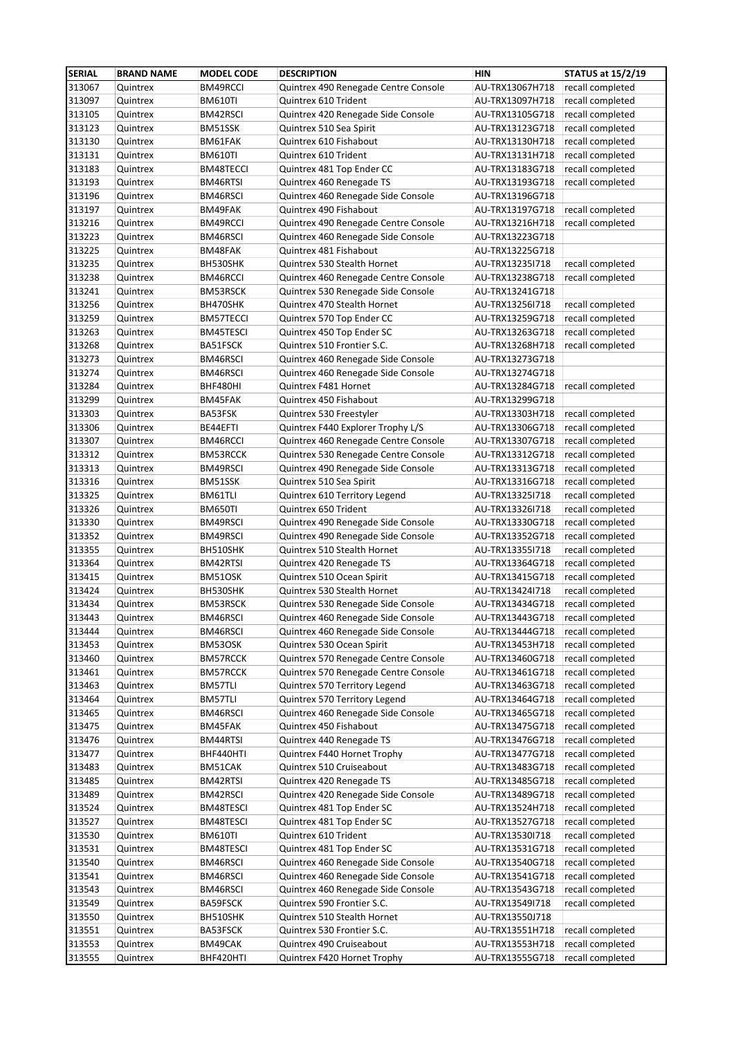| <b>SERIAL</b> | <b>BRAND NAME</b>    | <b>MODEL CODE</b> | <b>DESCRIPTION</b>                                           | <b>HIN</b>                         | <b>STATUS at 15/2/19</b> |
|---------------|----------------------|-------------------|--------------------------------------------------------------|------------------------------------|--------------------------|
| 313067        | Quintrex             | BM49RCCI          | Quintrex 490 Renegade Centre Console                         | AU-TRX13067H718                    | recall completed         |
| 313097        | Quintrex             | <b>BM610TI</b>    | Quintrex 610 Trident                                         | AU-TRX13097H718                    | recall completed         |
| 313105        | Quintrex             | BM42RSCI          | Quintrex 420 Renegade Side Console                           | AU-TRX13105G718                    | recall completed         |
| 313123        | Quintrex             | BM51SSK           | Quintrex 510 Sea Spirit                                      | AU-TRX13123G718                    | recall completed         |
| 313130        | Quintrex             | BM61FAK           | Quintrex 610 Fishabout                                       | AU-TRX13130H718                    | recall completed         |
| 313131        | Quintrex             | <b>BM610TI</b>    | Quintrex 610 Trident                                         | AU-TRX13131H718                    | recall completed         |
| 313183        | Quintrex             | BM48TECCI         | Quintrex 481 Top Ender CC                                    | AU-TRX13183G718                    | recall completed         |
| 313193        | Quintrex             | BM46RTSI          | Quintrex 460 Renegade TS                                     | AU-TRX13193G718                    | recall completed         |
| 313196        | Quintrex             | BM46RSCI          | Quintrex 460 Renegade Side Console                           | AU-TRX13196G718                    |                          |
| 313197        | Quintrex             | BM49FAK           | Quintrex 490 Fishabout                                       | AU-TRX13197G718                    | recall completed         |
| 313216        | Quintrex             | BM49RCCI          | Quintrex 490 Renegade Centre Console                         | AU-TRX13216H718                    | recall completed         |
| 313223        |                      | BM46RSCI          |                                                              |                                    |                          |
| 313225        | Quintrex<br>Quintrex | BM48FAK           | Quintrex 460 Renegade Side Console<br>Quintrex 481 Fishabout | AU-TRX13223G718<br>AU-TRX13225G718 |                          |
|               |                      |                   | Quintrex 530 Stealth Hornet                                  |                                    | recall completed         |
| 313235        | Quintrex             | BH530SHK          |                                                              | AU-TRX13235I718                    |                          |
| 313238        | Quintrex             | BM46RCCI          | Quintrex 460 Renegade Centre Console                         | AU-TRX13238G718                    | recall completed         |
| 313241        | Quintrex             | BM53RSCK          | Quintrex 530 Renegade Side Console                           | AU-TRX13241G718                    |                          |
| 313256        | Quintrex             | BH470SHK          | Quintrex 470 Stealth Hornet                                  | AU-TRX13256I718                    | recall completed         |
| 313259        | Quintrex             | <b>BM57TECCI</b>  | Quintrex 570 Top Ender CC                                    | AU-TRX13259G718                    | recall completed         |
| 313263        | Quintrex             | BM45TESCI         | Quintrex 450 Top Ender SC                                    | AU-TRX13263G718                    | recall completed         |
| 313268        | Quintrex             | BA51FSCK          | Quintrex 510 Frontier S.C.                                   | AU-TRX13268H718                    | recall completed         |
| 313273        | Quintrex             | BM46RSCI          | Quintrex 460 Renegade Side Console                           | AU-TRX13273G718                    |                          |
| 313274        | Quintrex             | BM46RSCI          | Quintrex 460 Renegade Side Console                           | AU-TRX13274G718                    |                          |
| 313284        | Quintrex             | BHF480HI          | Quintrex F481 Hornet                                         | AU-TRX13284G718                    | recall completed         |
| 313299        | Quintrex             | BM45FAK           | Quintrex 450 Fishabout                                       | AU-TRX13299G718                    |                          |
| 313303        | Quintrex             | BA53FSK           | Quintrex 530 Freestyler                                      | AU-TRX13303H718                    | recall completed         |
| 313306        | Quintrex             | BE44EFTI          | Quintrex F440 Explorer Trophy L/S                            | AU-TRX13306G718                    | recall completed         |
| 313307        | Quintrex             | BM46RCCI          | Quintrex 460 Renegade Centre Console                         | AU-TRX13307G718                    | recall completed         |
| 313312        | Quintrex             | BM53RCCK          | Quintrex 530 Renegade Centre Console                         | AU-TRX13312G718                    | recall completed         |
| 313313        | Quintrex             | BM49RSCI          | Quintrex 490 Renegade Side Console                           | AU-TRX13313G718                    | recall completed         |
| 313316        | Quintrex             | BM51SSK           | Quintrex 510 Sea Spirit                                      | AU-TRX13316G718                    | recall completed         |
| 313325        | Quintrex             | BM61TLI           | Quintrex 610 Territory Legend                                | AU-TRX13325I718                    | recall completed         |
| 313326        | Quintrex             | <b>BM650TI</b>    | Quintrex 650 Trident                                         | AU-TRX13326I718                    | recall completed         |
| 313330        | Quintrex             | BM49RSCI          | Quintrex 490 Renegade Side Console                           | AU-TRX13330G718                    | recall completed         |
| 313352        | Quintrex             | BM49RSCI          | Quintrex 490 Renegade Side Console                           | AU-TRX13352G718                    | recall completed         |
|               |                      |                   | Quintrex 510 Stealth Hornet                                  |                                    |                          |
| 313355        | Quintrex             | BH510SHK          |                                                              | AU-TRX13355I718                    | recall completed         |
| 313364        | Quintrex             | BM42RTSI          | Quintrex 420 Renegade TS                                     | AU-TRX13364G718                    | recall completed         |
| 313415        | Quintrex             | BM51OSK           | Quintrex 510 Ocean Spirit                                    | AU-TRX13415G718                    | recall completed         |
| 313424        | Quintrex             | BH530SHK          | Quintrex 530 Stealth Hornet                                  | AU-TRX13424I718                    | recall completed         |
| 313434        | Quintrex             | <b>BM53RSCK</b>   | Quintrex 530 Renegade Side Console                           | AU-TRX13434G718                    | recall completed         |
| 313443        | Quintrex             | BM46RSCI          | Quintrex 460 Renegade Side Console                           | AU-TRX13443G718                    | recall completed         |
| 313444        | Quintrex             | BM46RSCI          | Quintrex 460 Renegade Side Console                           | AU-TRX13444G718                    | recall completed         |
| 313453        | Quintrex             | BM53OSK           | Quintrex 530 Ocean Spirit                                    | AU-TRX13453H718                    | recall completed         |
| 313460        | Quintrex             | BM57RCCK          | Quintrex 570 Renegade Centre Console                         | AU-TRX13460G718                    | recall completed         |
| 313461        | Quintrex             | <b>BM57RCCK</b>   | Quintrex 570 Renegade Centre Console                         | AU-TRX13461G718                    | recall completed         |
| 313463        | Quintrex             | BM57TLI           | Quintrex 570 Territory Legend                                | AU-TRX13463G718                    | recall completed         |
| 313464        | Quintrex             | BM57TLI           | Quintrex 570 Territory Legend                                | AU-TRX13464G718                    | recall completed         |
| 313465        | Quintrex             | BM46RSCI          | Quintrex 460 Renegade Side Console                           | AU-TRX13465G718                    | recall completed         |
| 313475        | Quintrex             | BM45FAK           | Quintrex 450 Fishabout                                       | AU-TRX13475G718                    | recall completed         |
| 313476        | Quintrex             | BM44RTSI          | Quintrex 440 Renegade TS                                     | AU-TRX13476G718                    | recall completed         |
| 313477        | Quintrex             | BHF440HTI         | Quintrex F440 Hornet Trophy                                  | AU-TRX13477G718                    | recall completed         |
| 313483        | Quintrex             | BM51CAK           | Quintrex 510 Cruiseabout                                     | AU-TRX13483G718                    | recall completed         |
| 313485        | Quintrex             | BM42RTSI          | Quintrex 420 Renegade TS                                     | AU-TRX13485G718                    | recall completed         |
| 313489        | Quintrex             | BM42RSCI          | Quintrex 420 Renegade Side Console                           | AU-TRX13489G718                    | recall completed         |
| 313524        | Quintrex             | BM48TESCI         | Quintrex 481 Top Ender SC                                    | AU-TRX13524H718                    | recall completed         |
| 313527        | Quintrex             | BM48TESCI         | Quintrex 481 Top Ender SC                                    | AU-TRX13527G718                    | recall completed         |
| 313530        | Quintrex             | <b>BM610TI</b>    | Quintrex 610 Trident                                         | AU-TRX13530I718                    | recall completed         |
| 313531        | Quintrex             | BM48TESCI         | Quintrex 481 Top Ender SC                                    | AU-TRX13531G718                    | recall completed         |
| 313540        | Quintrex             | BM46RSCI          | Quintrex 460 Renegade Side Console                           | AU-TRX13540G718                    | recall completed         |
| 313541        | Quintrex             | BM46RSCI          | Quintrex 460 Renegade Side Console                           | AU-TRX13541G718                    | recall completed         |
| 313543        | Quintrex             | BM46RSCI          | Quintrex 460 Renegade Side Console                           | AU-TRX13543G718                    | recall completed         |
|               |                      |                   |                                                              |                                    |                          |
| 313549        | Quintrex             | BA59FSCK          | Quintrex 590 Frontier S.C.                                   | AU-TRX13549I718                    | recall completed         |
| 313550        | Quintrex             | BH510SHK          | Quintrex 510 Stealth Hornet                                  | AU-TRX13550J718                    |                          |
| 313551        | Quintrex             | BA53FSCK          | Quintrex 530 Frontier S.C.                                   | AU-TRX13551H718                    | recall completed         |
| 313553        | Quintrex             | BM49CAK           | Quintrex 490 Cruiseabout                                     | AU-TRX13553H718                    | recall completed         |
| 313555        | Quintrex             | BHF420HTI         | Quintrex F420 Hornet Trophy                                  | AU-TRX13555G718                    | recall completed         |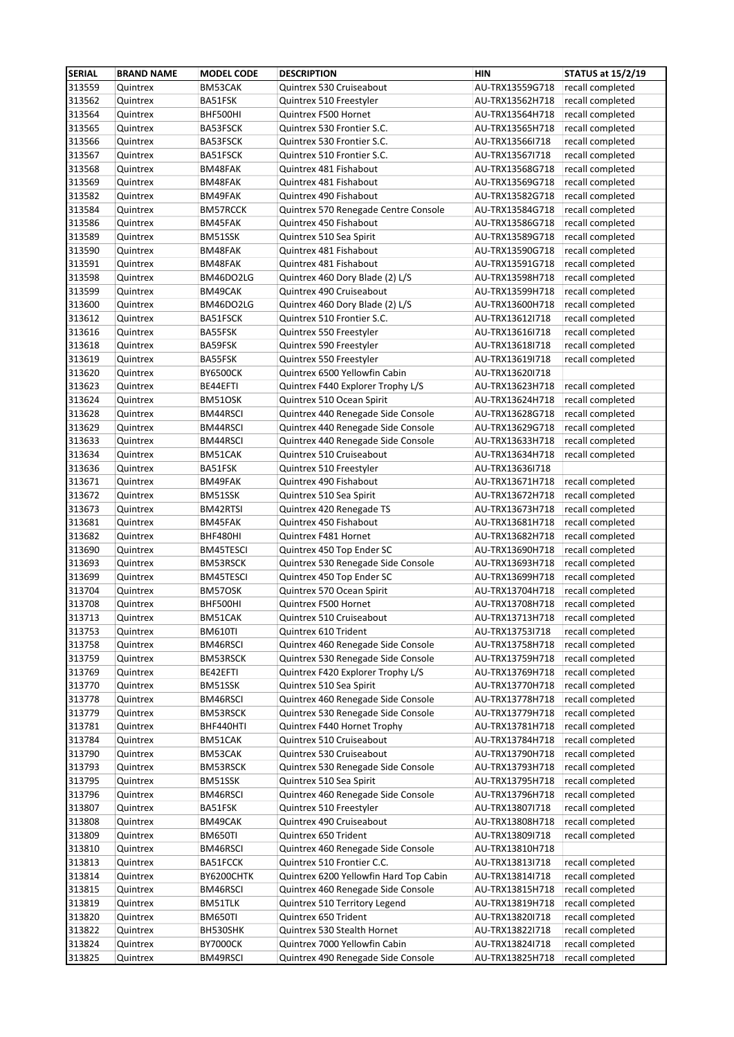| <b>SERIAL</b> | <b>BRAND NAME</b> | <b>MODEL CODE</b> | <b>DESCRIPTION</b>                     | <b>HIN</b>      | <b>STATUS at 15/2/19</b> |
|---------------|-------------------|-------------------|----------------------------------------|-----------------|--------------------------|
| 313559        | Quintrex          | BM53CAK           | Quintrex 530 Cruiseabout               | AU-TRX13559G718 | recall completed         |
| 313562        | Quintrex          | BA51FSK           | Quintrex 510 Freestyler                | AU-TRX13562H718 | recall completed         |
| 313564        | Quintrex          | BHF500HI          | Quintrex F500 Hornet                   | AU-TRX13564H718 | recall completed         |
| 313565        | Quintrex          | BA53FSCK          | Quintrex 530 Frontier S.C.             | AU-TRX13565H718 | recall completed         |
| 313566        | Quintrex          | BA53FSCK          | Quintrex 530 Frontier S.C.             | AU-TRX13566I718 | recall completed         |
| 313567        | Quintrex          | BA51FSCK          | Quintrex 510 Frontier S.C.             | AU-TRX135671718 | recall completed         |
| 313568        | Quintrex          | BM48FAK           | Quintrex 481 Fishabout                 | AU-TRX13568G718 | recall completed         |
| 313569        | Quintrex          | BM48FAK           | Quintrex 481 Fishabout                 | AU-TRX13569G718 | recall completed         |
| 313582        | Quintrex          | BM49FAK           | Quintrex 490 Fishabout                 | AU-TRX13582G718 | recall completed         |
| 313584        | Quintrex          | BM57RCCK          | Quintrex 570 Renegade Centre Console   | AU-TRX13584G718 | recall completed         |
| 313586        | Quintrex          | BM45FAK           | Quintrex 450 Fishabout                 | AU-TRX13586G718 | recall completed         |
| 313589        | Quintrex          | BM51SSK           | Quintrex 510 Sea Spirit                | AU-TRX13589G718 | recall completed         |
| 313590        | Quintrex          | BM48FAK           | Quintrex 481 Fishabout                 | AU-TRX13590G718 | recall completed         |
| 313591        | Quintrex          | BM48FAK           | Quintrex 481 Fishabout                 | AU-TRX13591G718 | recall completed         |
| 313598        | Quintrex          | BM46DO2LG         | Quintrex 460 Dory Blade (2) L/S        | AU-TRX13598H718 | recall completed         |
| 313599        | Quintrex          | BM49CAK           | Quintrex 490 Cruiseabout               | AU-TRX13599H718 | recall completed         |
| 313600        | Quintrex          | BM46DO2LG         | Quintrex 460 Dory Blade (2) L/S        | AU-TRX13600H718 | recall completed         |
| 313612        | Quintrex          | BA51FSCK          | Quintrex 510 Frontier S.C.             | AU-TRX13612I718 | recall completed         |
| 313616        | Quintrex          | BA55FSK           | Quintrex 550 Freestyler                | AU-TRX13616I718 | recall completed         |
| 313618        | Quintrex          | BA59FSK           | Quintrex 590 Freestyler                | AU-TRX13618I718 | recall completed         |
| 313619        | Quintrex          | BA55FSK           | Quintrex 550 Freestyler                | AU-TRX13619I718 | recall completed         |
| 313620        | Quintrex          | <b>BY6500CK</b>   | Quintrex 6500 Yellowfin Cabin          | AU-TRX13620I718 |                          |
| 313623        | Quintrex          | BE44EFTI          | Quintrex F440 Explorer Trophy L/S      | AU-TRX13623H718 | recall completed         |
| 313624        | Quintrex          | BM51OSK           | Quintrex 510 Ocean Spirit              | AU-TRX13624H718 | recall completed         |
| 313628        | Quintrex          | BM44RSCI          | Quintrex 440 Renegade Side Console     | AU-TRX13628G718 | recall completed         |
| 313629        | Quintrex          | BM44RSCI          | Quintrex 440 Renegade Side Console     | AU-TRX13629G718 | recall completed         |
| 313633        | Quintrex          | BM44RSCI          | Quintrex 440 Renegade Side Console     | AU-TRX13633H718 | recall completed         |
| 313634        | Quintrex          | BM51CAK           | Quintrex 510 Cruiseabout               | AU-TRX13634H718 | recall completed         |
| 313636        | Quintrex          | BA51FSK           | Quintrex 510 Freestyler                | AU-TRX13636I718 |                          |
| 313671        | Quintrex          | BM49FAK           | Quintrex 490 Fishabout                 | AU-TRX13671H718 | recall completed         |
| 313672        | Quintrex          | BM51SSK           | Quintrex 510 Sea Spirit                | AU-TRX13672H718 | recall completed         |
| 313673        | Quintrex          | BM42RTSI          | Quintrex 420 Renegade TS               | AU-TRX13673H718 | recall completed         |
| 313681        | Quintrex          | BM45FAK           | Quintrex 450 Fishabout                 | AU-TRX13681H718 | recall completed         |
| 313682        | Quintrex          | BHF480HI          | Quintrex F481 Hornet                   | AU-TRX13682H718 | recall completed         |
| 313690        | Quintrex          | BM45TESCI         | Quintrex 450 Top Ender SC              | AU-TRX13690H718 | recall completed         |
| 313693        | Quintrex          | BM53RSCK          | Quintrex 530 Renegade Side Console     | AU-TRX13693H718 | recall completed         |
| 313699        | Quintrex          | BM45TESCI         | Quintrex 450 Top Ender SC              | AU-TRX13699H718 | recall completed         |
| 313704        | Quintrex          | BM57OSK           | Quintrex 570 Ocean Spirit              | AU-TRX13704H718 | recall completed         |
| 313708        | Quintrex          | BHF500HI          | Quintrex F500 Hornet                   | AU-TRX13708H718 | recall completed         |
| 313713        | Quintrex          | BM51CAK           | Quintrex 510 Cruiseabout               | AU-TRX13713H718 | recall completed         |
| 313753        | Quintrex          | <b>BM610TI</b>    | Quintrex 610 Trident                   | AU-TRX13753I718 | recall completed         |
| 313758        | Quintrex          | BM46RSCI          | Quintrex 460 Renegade Side Console     | AU-TRX13758H718 | recall completed         |
| 313759        | Quintrex          | BM53RSCK          | Quintrex 530 Renegade Side Console     | AU-TRX13759H718 | recall completed         |
| 313769        | Quintrex          | BE42EFTI          | Quintrex F420 Explorer Trophy L/S      | AU-TRX13769H718 | recall completed         |
| 313770        | Quintrex          | BM51SSK           | Quintrex 510 Sea Spirit                | AU-TRX13770H718 | recall completed         |
| 313778        | Quintrex          | BM46RSCI          | Quintrex 460 Renegade Side Console     | AU-TRX13778H718 | recall completed         |
| 313779        | Quintrex          | BM53RSCK          | Quintrex 530 Renegade Side Console     | AU-TRX13779H718 | recall completed         |
| 313781        | Quintrex          | BHF440HTI         | Quintrex F440 Hornet Trophy            | AU-TRX13781H718 | recall completed         |
| 313784        | Quintrex          | BM51CAK           | Quintrex 510 Cruiseabout               | AU-TRX13784H718 | recall completed         |
| 313790        | Quintrex          | BM53CAK           | Quintrex 530 Cruiseabout               | AU-TRX13790H718 | recall completed         |
| 313793        | Quintrex          | BM53RSCK          | Quintrex 530 Renegade Side Console     | AU-TRX13793H718 | recall completed         |
| 313795        | Quintrex          | BM51SSK           | Quintrex 510 Sea Spirit                | AU-TRX13795H718 | recall completed         |
| 313796        | Quintrex          | BM46RSCI          | Quintrex 460 Renegade Side Console     | AU-TRX13796H718 | recall completed         |
| 313807        | Quintrex          | BA51FSK           | Quintrex 510 Freestyler                | AU-TRX13807I718 | recall completed         |
| 313808        | Quintrex          | BM49CAK           | Quintrex 490 Cruiseabout               | AU-TRX13808H718 | recall completed         |
| 313809        | Quintrex          | BM650TI           | Quintrex 650 Trident                   | AU-TRX13809I718 | recall completed         |
| 313810        | Quintrex          | BM46RSCI          | Quintrex 460 Renegade Side Console     | AU-TRX13810H718 |                          |
| 313813        | Quintrex          | BA51FCCK          | Quintrex 510 Frontier C.C.             | AU-TRX13813I718 | recall completed         |
| 313814        | Quintrex          | BY6200CHTK        | Quintrex 6200 Yellowfin Hard Top Cabin | AU-TRX13814I718 | recall completed         |
| 313815        | Quintrex          | BM46RSCI          | Quintrex 460 Renegade Side Console     | AU-TRX13815H718 | recall completed         |
| 313819        | Quintrex          | BM51TLK           | Quintrex 510 Territory Legend          | AU-TRX13819H718 | recall completed         |
| 313820        | Quintrex          | BM650TI           | Quintrex 650 Trident                   | AU-TRX13820I718 | recall completed         |
| 313822        | Quintrex          | BH530SHK          | Quintrex 530 Stealth Hornet            | AU-TRX13822I718 | recall completed         |
| 313824        | Quintrex          | <b>BY7000CK</b>   | Quintrex 7000 Yellowfin Cabin          | AU-TRX13824I718 | recall completed         |
| 313825        | Quintrex          | BM49RSCI          | Quintrex 490 Renegade Side Console     | AU-TRX13825H718 | recall completed         |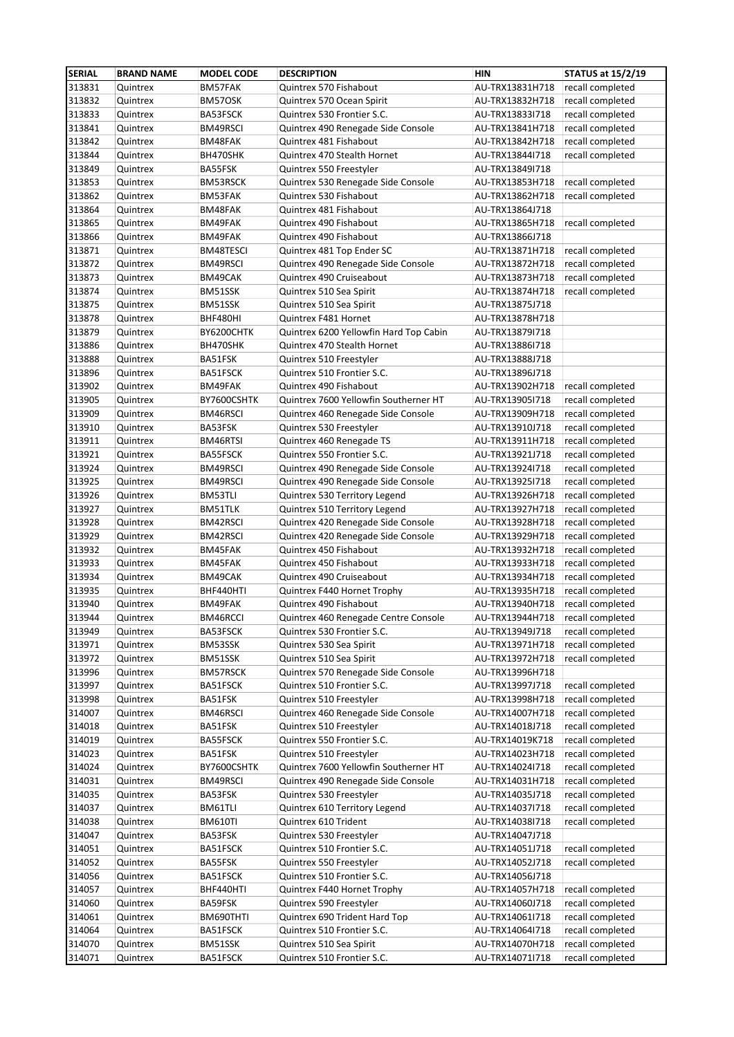| <b>SERIAL</b>    | <b>BRAND NAME</b>    | <b>MODEL CODE</b>    | <b>DESCRIPTION</b>                                    | <b>HIN</b>                         | <b>STATUS at 15/2/19</b>             |
|------------------|----------------------|----------------------|-------------------------------------------------------|------------------------------------|--------------------------------------|
| 313831           | Quintrex             | BM57FAK              | Quintrex 570 Fishabout                                | AU-TRX13831H718                    | recall completed                     |
| 313832           | Quintrex             | BM57OSK              | Quintrex 570 Ocean Spirit                             | AU-TRX13832H718                    | recall completed                     |
| 313833           | Quintrex             | BA53FSCK             | Quintrex 530 Frontier S.C.                            | AU-TRX13833I718                    | recall completed                     |
| 313841           | Quintrex             | BM49RSCI             | Quintrex 490 Renegade Side Console                    | AU-TRX13841H718                    | recall completed                     |
| 313842           | Quintrex             | BM48FAK              | Quintrex 481 Fishabout                                | AU-TRX13842H718                    | recall completed                     |
| 313844           | Quintrex             | BH470SHK             | Quintrex 470 Stealth Hornet                           | AU-TRX13844I718                    | recall completed                     |
| 313849           | Quintrex             | BA55FSK              | Quintrex 550 Freestyler                               | AU-TRX13849I718                    |                                      |
| 313853           | Quintrex             | BM53RSCK             | Quintrex 530 Renegade Side Console                    | AU-TRX13853H718                    | recall completed                     |
| 313862           | Quintrex             | BM53FAK              | Quintrex 530 Fishabout                                | AU-TRX13862H718                    | recall completed                     |
| 313864           | Quintrex             | BM48FAK              | Quintrex 481 Fishabout                                | AU-TRX13864J718                    |                                      |
| 313865           | Quintrex             | BM49FAK              | Quintrex 490 Fishabout                                | AU-TRX13865H718                    | recall completed                     |
| 313866           | Quintrex             | BM49FAK              | Quintrex 490 Fishabout                                | AU-TRX13866J718                    |                                      |
| 313871           | Quintrex             | BM48TESCI            | Quintrex 481 Top Ender SC                             | AU-TRX13871H718                    | recall completed                     |
| 313872           | Quintrex             | BM49RSCI             | Quintrex 490 Renegade Side Console                    | AU-TRX13872H718                    | recall completed                     |
| 313873           | Quintrex             | BM49CAK              | Quintrex 490 Cruiseabout                              | AU-TRX13873H718                    | recall completed                     |
| 313874           | Quintrex             | BM51SSK              | Quintrex 510 Sea Spirit                               | AU-TRX13874H718                    | recall completed                     |
| 313875           | Quintrex             | BM51SSK              | Quintrex 510 Sea Spirit                               | AU-TRX13875J718                    |                                      |
| 313878           | Quintrex             | BHF480HI             | Quintrex F481 Hornet                                  | AU-TRX13878H718                    |                                      |
| 313879           | Quintrex             | BY6200CHTK           | Quintrex 6200 Yellowfin Hard Top Cabin                | AU-TRX13879I718                    |                                      |
| 313886           | Quintrex             | BH470SHK             | Quintrex 470 Stealth Hornet                           | AU-TRX13886I718                    |                                      |
| 313888           | Quintrex             | BA51FSK              | Quintrex 510 Freestyler                               | AU-TRX13888J718                    |                                      |
| 313896           | Quintrex             | BA51FSCK             | Quintrex 510 Frontier S.C.                            | AU-TRX13896J718                    |                                      |
| 313902           | Quintrex             | BM49FAK              | Quintrex 490 Fishabout                                | AU-TRX13902H718                    | recall completed                     |
| 313905           | Quintrex             | BY7600CSHTK          | Quintrex 7600 Yellowfin Southerner HT                 | AU-TRX13905I718                    | recall completed                     |
| 313909           | Quintrex             | BM46RSCI             | Quintrex 460 Renegade Side Console                    | AU-TRX13909H718                    | recall completed                     |
| 313910           | Quintrex             | BA53FSK              | Quintrex 530 Freestyler                               | AU-TRX13910J718                    | recall completed                     |
| 313911           | Quintrex             | BM46RTSI             | Quintrex 460 Renegade TS                              | AU-TRX13911H718                    | recall completed                     |
| 313921           | Quintrex             | BA55FSCK             | Quintrex 550 Frontier S.C.                            | AU-TRX13921J718                    | recall completed                     |
| 313924           | Quintrex             | BM49RSCI             | Quintrex 490 Renegade Side Console                    | AU-TRX13924I718                    | recall completed                     |
| 313925           | Quintrex             | BM49RSCI             | Quintrex 490 Renegade Side Console                    | AU-TRX13925I718                    | recall completed                     |
| 313926           | Quintrex             | BM53TLI              | Quintrex 530 Territory Legend                         | AU-TRX13926H718                    | recall completed                     |
| 313927           | Quintrex             | BM51TLK              | Quintrex 510 Territory Legend                         | AU-TRX13927H718                    | recall completed                     |
| 313928           | Quintrex             | BM42RSCI             | Quintrex 420 Renegade Side Console                    | AU-TRX13928H718                    | recall completed                     |
| 313929           | Quintrex             | BM42RSCI             | Quintrex 420 Renegade Side Console                    | AU-TRX13929H718                    | recall completed                     |
| 313932           | Quintrex             | BM45FAK              | Quintrex 450 Fishabout                                | AU-TRX13932H718                    | recall completed                     |
| 313933           | Quintrex             | BM45FAK              | Quintrex 450 Fishabout                                | AU-TRX13933H718                    | recall completed                     |
| 313934           | Quintrex             | BM49CAK              | Quintrex 490 Cruiseabout                              | AU-TRX13934H718                    | recall completed                     |
| 313935           | Quintrex             | BHF440HTI            | Quintrex F440 Hornet Trophy                           | AU-TRX13935H718                    | recall completed                     |
| 313940           | Quintrex             | BM49FAK              | Quintrex 490 Fishabout                                | AU-TRX13940H718                    | recall completed                     |
| 313944           | Quintrex             | BM46RCCI             | Quintrex 460 Renegade Centre Console                  | AU-TRX13944H718                    | recall completed                     |
| 313949           | Quintrex             | BA53FSCK             | Quintrex 530 Frontier S.C.                            | AU-TRX13949J718                    | recall completed                     |
| 313971           | Quintrex             | BM53SSK              | Quintrex 530 Sea Spirit                               | AU-TRX13971H718                    | recall completed                     |
| 313972           | Quintrex             | BM51SSK              | Quintrex 510 Sea Spirit                               | AU-TRX13972H718                    | recall completed                     |
| 313996           | Quintrex             | BM57RSCK<br>BA51FSCK | Quintrex 570 Renegade Side Console                    | AU-TRX13996H718                    |                                      |
| 313997<br>313998 | Quintrex<br>Quintrex | BA51FSK              | Quintrex 510 Frontier S.C.<br>Quintrex 510 Freestyler | AU-TRX13997J718<br>AU-TRX13998H718 | recall completed<br>recall completed |
| 314007           | Quintrex             | BM46RSCI             | Quintrex 460 Renegade Side Console                    | AU-TRX14007H718                    | recall completed                     |
| 314018           | Quintrex             |                      | Quintrex 510 Freestyler                               |                                    | recall completed                     |
| 314019           | Quintrex             | BA51FSK<br>BA55FSCK  | Quintrex 550 Frontier S.C.                            | AU-TRX14018J718<br>AU-TRX14019K718 | recall completed                     |
| 314023           | Quintrex             | BA51FSK              | Quintrex 510 Freestyler                               | AU-TRX14023H718                    | recall completed                     |
| 314024           | Quintrex             | BY7600CSHTK          | Quintrex 7600 Yellowfin Southerner HT                 | AU-TRX14024I718                    | recall completed                     |
| 314031           | Quintrex             | BM49RSCI             | Quintrex 490 Renegade Side Console                    | AU-TRX14031H718                    | recall completed                     |
| 314035           | Quintrex             | BA53FSK              | Quintrex 530 Freestyler                               | AU-TRX14035J718                    | recall completed                     |
| 314037           | Quintrex             | BM61TLI              | Quintrex 610 Territory Legend                         | AU-TRX14037I718                    | recall completed                     |
| 314038           | Quintrex             | <b>BM610TI</b>       | Quintrex 610 Trident                                  | AU-TRX14038I718                    | recall completed                     |
| 314047           | Quintrex             | BA53FSK              | Quintrex 530 Freestyler                               | AU-TRX14047J718                    |                                      |
| 314051           | Quintrex             | BA51FSCK             | Quintrex 510 Frontier S.C.                            | AU-TRX14051J718                    | recall completed                     |
| 314052           | Quintrex             | BA55FSK              | Quintrex 550 Freestyler                               | AU-TRX14052J718                    | recall completed                     |
| 314056           | Quintrex             | BA51FSCK             | Quintrex 510 Frontier S.C.                            | AU-TRX14056J718                    |                                      |
| 314057           | Quintrex             | BHF440HTI            | Quintrex F440 Hornet Trophy                           | AU-TRX14057H718                    | recall completed                     |
| 314060           | Quintrex             | BA59FSK              | Quintrex 590 Freestyler                               | AU-TRX14060J718                    | recall completed                     |
| 314061           | Quintrex             | BM690THTI            | Quintrex 690 Trident Hard Top                         | AU-TRX14061I718                    | recall completed                     |
| 314064           | Quintrex             | BA51FSCK             | Quintrex 510 Frontier S.C.                            | AU-TRX14064I718                    | recall completed                     |
| 314070           | Quintrex             | BM51SSK              | Quintrex 510 Sea Spirit                               | AU-TRX14070H718                    | recall completed                     |
| 314071           | Quintrex             | BA51FSCK             | Quintrex 510 Frontier S.C.                            | AU-TRX14071I718                    | recall completed                     |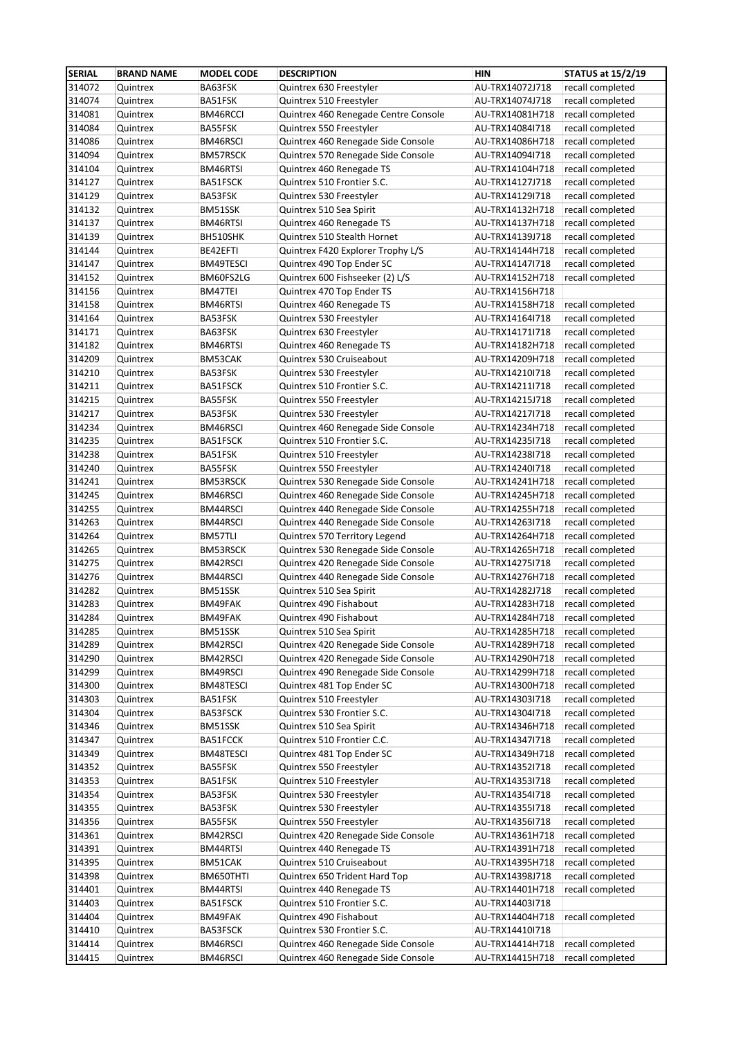| <b>SERIAL</b> | <b>BRAND NAME</b> | <b>MODEL CODE</b> | <b>DESCRIPTION</b>                   | <b>HIN</b>      | <b>STATUS at 15/2/19</b> |
|---------------|-------------------|-------------------|--------------------------------------|-----------------|--------------------------|
| 314072        | Quintrex          | BA63FSK           | Quintrex 630 Freestyler              | AU-TRX14072J718 | recall completed         |
| 314074        | Quintrex          | BA51FSK           | Quintrex 510 Freestyler              | AU-TRX14074J718 | recall completed         |
| 314081        | Quintrex          | BM46RCCI          | Quintrex 460 Renegade Centre Console | AU-TRX14081H718 | recall completed         |
| 314084        | Quintrex          | BA55FSK           | Quintrex 550 Freestyler              | AU-TRX14084I718 | recall completed         |
| 314086        | Quintrex          | BM46RSCI          | Quintrex 460 Renegade Side Console   | AU-TRX14086H718 | recall completed         |
| 314094        | Quintrex          | BM57RSCK          | Quintrex 570 Renegade Side Console   | AU-TRX14094I718 | recall completed         |
| 314104        | Quintrex          | BM46RTSI          | Quintrex 460 Renegade TS             | AU-TRX14104H718 | recall completed         |
| 314127        | Quintrex          | BA51FSCK          | Quintrex 510 Frontier S.C.           | AU-TRX14127J718 | recall completed         |
| 314129        | Quintrex          | BA53FSK           | Quintrex 530 Freestyler              | AU-TRX14129I718 | recall completed         |
| 314132        | Quintrex          | BM51SSK           | Quintrex 510 Sea Spirit              | AU-TRX14132H718 | recall completed         |
| 314137        | Quintrex          | BM46RTSI          | Quintrex 460 Renegade TS             | AU-TRX14137H718 | recall completed         |
| 314139        | Quintrex          | BH510SHK          | Quintrex 510 Stealth Hornet          | AU-TRX14139J718 | recall completed         |
| 314144        | Quintrex          | BE42EFTI          | Quintrex F420 Explorer Trophy L/S    | AU-TRX14144H718 | recall completed         |
| 314147        | Quintrex          | BM49TESCI         | Quintrex 490 Top Ender SC            | AU-TRX14147l718 | recall completed         |
| 314152        | Quintrex          | BM60FS2LG         | Quintrex 600 Fishseeker (2) L/S      | AU-TRX14152H718 | recall completed         |
| 314156        | Quintrex          | BM47TEI           | Quintrex 470 Top Ender TS            | AU-TRX14156H718 |                          |
| 314158        | Quintrex          | BM46RTSI          | Quintrex 460 Renegade TS             | AU-TRX14158H718 | recall completed         |
| 314164        | Quintrex          | BA53FSK           | Quintrex 530 Freestyler              | AU-TRX14164I718 | recall completed         |
| 314171        | Quintrex          | BA63FSK           | Quintrex 630 Freestyler              | AU-TRX14171I718 | recall completed         |
| 314182        | Quintrex          | BM46RTSI          | Quintrex 460 Renegade TS             | AU-TRX14182H718 | recall completed         |
| 314209        | Quintrex          | BM53CAK           | Quintrex 530 Cruiseabout             | AU-TRX14209H718 | recall completed         |
| 314210        | Quintrex          | BA53FSK           | Quintrex 530 Freestyler              | AU-TRX14210I718 | recall completed         |
| 314211        | Quintrex          | BA51FSCK          | Quintrex 510 Frontier S.C.           | AU-TRX14211I718 | recall completed         |
| 314215        | Quintrex          | BA55FSK           | Quintrex 550 Freestyler              | AU-TRX14215J718 | recall completed         |
| 314217        | Quintrex          | BA53FSK           | Quintrex 530 Freestyler              | AU-TRX14217I718 | recall completed         |
| 314234        | Quintrex          | BM46RSCI          | Quintrex 460 Renegade Side Console   | AU-TRX14234H718 | recall completed         |
| 314235        | Quintrex          | BA51FSCK          | Quintrex 510 Frontier S.C.           | AU-TRX142351718 | recall completed         |
| 314238        | Quintrex          | BA51FSK           | Quintrex 510 Freestyler              | AU-TRX14238I718 | recall completed         |
| 314240        | Quintrex          | BA55FSK           | Quintrex 550 Freestyler              | AU-TRX142401718 | recall completed         |
| 314241        | Quintrex          | BM53RSCK          | Quintrex 530 Renegade Side Console   | AU-TRX14241H718 | recall completed         |
| 314245        | Quintrex          | BM46RSCI          | Quintrex 460 Renegade Side Console   | AU-TRX14245H718 | recall completed         |
| 314255        | Quintrex          | BM44RSCI          | Quintrex 440 Renegade Side Console   | AU-TRX14255H718 | recall completed         |
| 314263        | Quintrex          | BM44RSCI          | Quintrex 440 Renegade Side Console   | AU-TRX14263I718 | recall completed         |
| 314264        | Quintrex          | BM57TLI           | Quintrex 570 Territory Legend        | AU-TRX14264H718 | recall completed         |
| 314265        | Quintrex          | BM53RSCK          | Quintrex 530 Renegade Side Console   | AU-TRX14265H718 | recall completed         |
| 314275        | Quintrex          | BM42RSCI          | Quintrex 420 Renegade Side Console   | AU-TRX142751718 | recall completed         |
| 314276        | Quintrex          | BM44RSCI          | Quintrex 440 Renegade Side Console   | AU-TRX14276H718 | recall completed         |
| 314282        | Quintrex          | BM51SSK           | Quintrex 510 Sea Spirit              | AU-TRX14282J718 | recall completed         |
| 314283        | Quintrex          | BM49FAK           | Quintrex 490 Fishabout               | AU-TRX14283H718 | recall completed         |
| 314284        | Quintrex          | BM49FAK           | Quintrex 490 Fishabout               | AU-TRX14284H718 | recall completed         |
| 314285        | Quintrex          | BM51SSK           | Quintrex 510 Sea Spirit              | AU-TRX14285H718 | recall completed         |
| 314289        | Quintrex          | BM42RSCI          | Quintrex 420 Renegade Side Console   | AU-TRX14289H718 | recall completed         |
| 314290        | Quintrex          | BM42RSCI          | Quintrex 420 Renegade Side Console   | AU-TRX14290H718 | recall completed         |
| 314299        | Quintrex          | BM49RSCI          | Quintrex 490 Renegade Side Console   | AU-TRX14299H718 | recall completed         |
| 314300        | Quintrex          | BM48TESCI         | Quintrex 481 Top Ender SC            | AU-TRX14300H718 | recall completed         |
| 314303        | Quintrex          | BA51FSK           | Quintrex 510 Freestyler              | AU-TRX14303I718 | recall completed         |
| 314304        | Quintrex          | BA53FSCK          | Quintrex 530 Frontier S.C.           | AU-TRX14304I718 | recall completed         |
| 314346        | Quintrex          | BM51SSK           | Quintrex 510 Sea Spirit              | AU-TRX14346H718 | recall completed         |
| 314347        | Quintrex          | BA51FCCK          | Quintrex 510 Frontier C.C.           | AU-TRX14347I718 | recall completed         |
| 314349        | Quintrex          | BM48TESCI         | Quintrex 481 Top Ender SC            | AU-TRX14349H718 | recall completed         |
| 314352        | Quintrex          | BA55FSK           | Quintrex 550 Freestyler              | AU-TRX14352I718 | recall completed         |
| 314353        | Quintrex          | BA51FSK           | Quintrex 510 Freestyler              | AU-TRX14353I718 | recall completed         |
| 314354        | Quintrex          | BA53FSK           | Quintrex 530 Freestyler              | AU-TRX14354I718 | recall completed         |
| 314355        | Quintrex          | BA53FSK           | Quintrex 530 Freestyler              | AU-TRX14355I718 | recall completed         |
| 314356        | Quintrex          | BA55FSK           | Quintrex 550 Freestyler              | AU-TRX14356I718 | recall completed         |
| 314361        | Quintrex          | BM42RSCI          | Quintrex 420 Renegade Side Console   | AU-TRX14361H718 | recall completed         |
| 314391        | Quintrex          | BM44RTSI          | Quintrex 440 Renegade TS             | AU-TRX14391H718 | recall completed         |
| 314395        | Quintrex          | BM51CAK           | Quintrex 510 Cruiseabout             | AU-TRX14395H718 | recall completed         |
| 314398        | Quintrex          | BM650THTI         | Quintrex 650 Trident Hard Top        | AU-TRX14398J718 | recall completed         |
| 314401        | Quintrex          | BM44RTSI          | Quintrex 440 Renegade TS             | AU-TRX14401H718 | recall completed         |
| 314403        | Quintrex          | BA51FSCK          | Quintrex 510 Frontier S.C.           | AU-TRX14403I718 |                          |
| 314404        | Quintrex          | BM49FAK           | Quintrex 490 Fishabout               | AU-TRX14404H718 | recall completed         |
| 314410        | Quintrex          | BA53FSCK          | Quintrex 530 Frontier S.C.           | AU-TRX14410I718 |                          |
| 314414        | Quintrex          | BM46RSCI          | Quintrex 460 Renegade Side Console   | AU-TRX14414H718 | recall completed         |
| 314415        | Quintrex          | BM46RSCI          | Quintrex 460 Renegade Side Console   | AU-TRX14415H718 | recall completed         |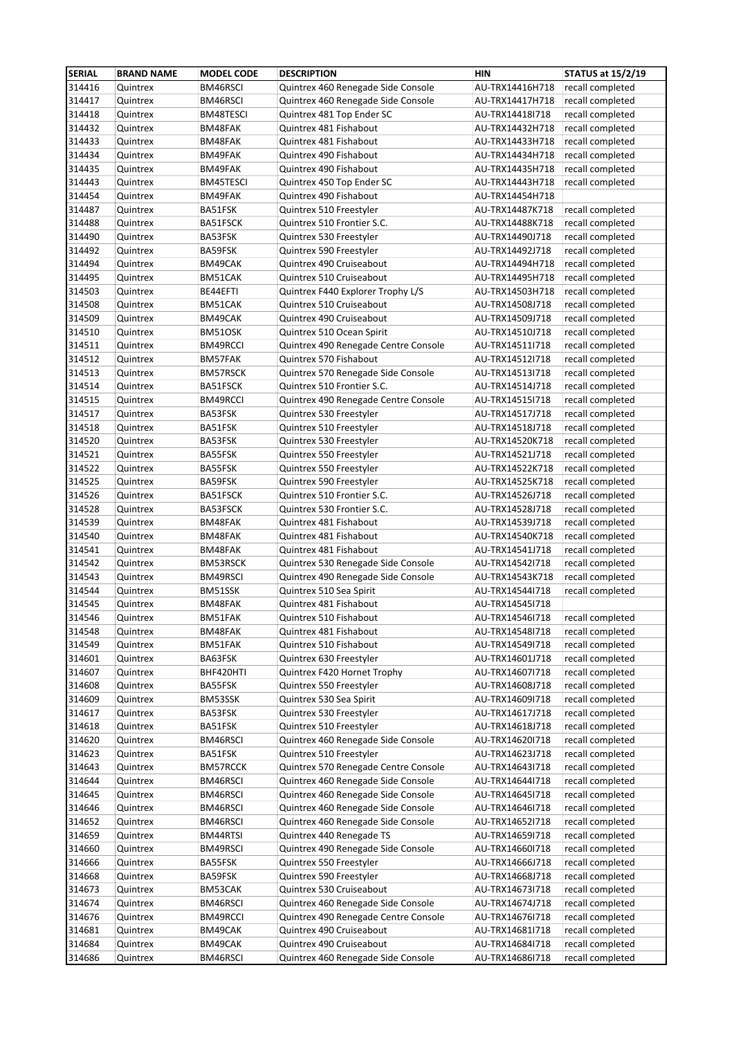| <b>SERIAL</b>    | <b>BRAND NAME</b>    | <b>MODEL CODE</b>    | <b>DESCRIPTION</b>                                              | <b>HIN</b>                         | <b>STATUS at 15/2/19</b>             |
|------------------|----------------------|----------------------|-----------------------------------------------------------------|------------------------------------|--------------------------------------|
| 314416           | Quintrex             | BM46RSCI             | Quintrex 460 Renegade Side Console                              | AU-TRX14416H718                    | recall completed                     |
| 314417           | Quintrex             | BM46RSCI             | Quintrex 460 Renegade Side Console                              | AU-TRX14417H718                    | recall completed                     |
| 314418           | Quintrex             | BM48TESCI            | Quintrex 481 Top Ender SC                                       | AU-TRX14418I718                    | recall completed                     |
| 314432           | Quintrex             | BM48FAK              | Quintrex 481 Fishabout                                          | AU-TRX14432H718                    | recall completed                     |
| 314433           | Quintrex             | BM48FAK              | Quintrex 481 Fishabout                                          | AU-TRX14433H718                    | recall completed                     |
| 314434           | Quintrex             | BM49FAK              | Quintrex 490 Fishabout                                          | AU-TRX14434H718                    | recall completed                     |
| 314435           | Quintrex             | BM49FAK              | Quintrex 490 Fishabout                                          | AU-TRX14435H718                    | recall completed                     |
| 314443           | Quintrex             | BM45TESCI            | Quintrex 450 Top Ender SC                                       | AU-TRX14443H718                    | recall completed                     |
| 314454           | Quintrex             | BM49FAK              | Quintrex 490 Fishabout                                          | AU-TRX14454H718                    |                                      |
| 314487           | Quintrex             | BA51FSK              | Quintrex 510 Freestyler                                         | AU-TRX14487K718                    | recall completed                     |
| 314488           | Quintrex             | BA51FSCK             | Quintrex 510 Frontier S.C.                                      | AU-TRX14488K718                    | recall completed                     |
| 314490           | Quintrex             | BA53FSK              | Quintrex 530 Freestyler                                         | AU-TRX14490J718                    | recall completed                     |
| 314492           | Quintrex             | BA59FSK              | Quintrex 590 Freestyler                                         | AU-TRX14492J718                    | recall completed                     |
| 314494           | Quintrex             | BM49CAK              | Quintrex 490 Cruiseabout                                        | AU-TRX14494H718                    | recall completed                     |
| 314495<br>314503 | Quintrex             | BM51CAK              | Quintrex 510 Cruiseabout                                        | AU-TRX14495H718                    | recall completed                     |
| 314508           | Quintrex             | BE44EFTI             | Quintrex F440 Explorer Trophy L/S<br>Quintrex 510 Cruiseabout   | AU-TRX14503H718                    | recall completed<br>recall completed |
| 314509           | Quintrex<br>Quintrex | BM51CAK<br>BM49CAK   | Quintrex 490 Cruiseabout                                        | AU-TRX14508J718<br>AU-TRX14509J718 | recall completed                     |
| 314510           | Quintrex             | BM51OSK              | Quintrex 510 Ocean Spirit                                       | AU-TRX14510J718                    | recall completed                     |
| 314511           | Quintrex             | BM49RCCI             | Quintrex 490 Renegade Centre Console                            | AU-TRX14511I718                    | recall completed                     |
| 314512           | Quintrex             | BM57FAK              | Quintrex 570 Fishabout                                          | AU-TRX14512I718                    | recall completed                     |
| 314513           | Quintrex             | BM57RSCK             | Quintrex 570 Renegade Side Console                              | AU-TRX14513I718                    | recall completed                     |
| 314514           | Quintrex             | BA51FSCK             | Quintrex 510 Frontier S.C.                                      | AU-TRX14514J718                    | recall completed                     |
| 314515           | Quintrex             | BM49RCCI             | Quintrex 490 Renegade Centre Console                            | AU-TRX14515I718                    | recall completed                     |
| 314517           | Quintrex             | BA53FSK              | Quintrex 530 Freestyler                                         | AU-TRX14517J718                    | recall completed                     |
| 314518           | Quintrex             | BA51FSK              | Quintrex 510 Freestyler                                         | AU-TRX14518J718                    | recall completed                     |
| 314520           | Quintrex             | BA53FSK              | Quintrex 530 Freestyler                                         | AU-TRX14520K718                    | recall completed                     |
| 314521           | Quintrex             | BA55FSK              | Quintrex 550 Freestyler                                         | AU-TRX14521J718                    | recall completed                     |
| 314522           | Quintrex             | BA55FSK              | Quintrex 550 Freestyler                                         | AU-TRX14522K718                    | recall completed                     |
| 314525           | Quintrex             | BA59FSK              | Quintrex 590 Freestyler                                         | AU-TRX14525K718                    | recall completed                     |
| 314526           | Quintrex             | BA51FSCK             | Quintrex 510 Frontier S.C.                                      | AU-TRX14526J718                    | recall completed                     |
| 314528           | Quintrex             | BA53FSCK             | Quintrex 530 Frontier S.C.                                      | AU-TRX14528J718                    | recall completed                     |
| 314539           | Quintrex             | BM48FAK              | Quintrex 481 Fishabout                                          | AU-TRX14539J718                    | recall completed                     |
| 314540           | Quintrex             | BM48FAK              | Quintrex 481 Fishabout                                          | AU-TRX14540K718                    | recall completed                     |
| 314541           | Quintrex             | BM48FAK              | Quintrex 481 Fishabout                                          | AU-TRX14541J718                    | recall completed                     |
| 314542           | Quintrex             | <b>BM53RSCK</b>      | Quintrex 530 Renegade Side Console                              | AU-TRX145421718                    | recall completed                     |
| 314543           | Quintrex             | BM49RSCI             | Quintrex 490 Renegade Side Console                              | AU-TRX14543K718                    | recall completed                     |
| 314544           | Quintrex             | BM51SSK              | Quintrex 510 Sea Spirit                                         | AU-TRX14544I718                    | recall completed                     |
| 314545           | Quintrex             | BM48FAK              | Quintrex 481 Fishabout                                          | AU-TRX145451718                    |                                      |
| 314546           | Quintrex             | BM51FAK              | Quintrex 510 Fishabout                                          | AU-TRX14546I718                    | recall completed                     |
| 314548           | Quintrex             | BM48FAK              | Quintrex 481 Fishabout                                          | AU-TRX145481718                    | recall completed                     |
| 314549           | Quintrex             | BM51FAK              | Quintrex 510 Fishabout                                          | AU-TRX145491718                    | recall completed                     |
| 314601           | Quintrex             | BA63FSK              | Quintrex 630 Freestyler                                         | AU-TRX14601J718                    | recall completed                     |
| 314607           | Quintrex             | BHF420HTI            | Quintrex F420 Hornet Trophy                                     | AU-TRX14607I718                    | recall completed                     |
| 314608           | Quintrex             | BA55FSK              | Quintrex 550 Freestyler                                         | AU-TRX14608J718                    | recall completed                     |
| 314609           | Quintrex             | BM53SSK              | Quintrex 530 Sea Spirit                                         | AU-TRX14609I718                    | recall completed                     |
| 314617           | Quintrex             | BA53FSK              | Quintrex 530 Freestyler                                         | AU-TRX14617J718                    | recall completed                     |
| 314618           | Quintrex             | BA51FSK              | Quintrex 510 Freestyler                                         | AU-TRX14618J718<br>AU-TRX146201718 | recall completed<br>recall completed |
| 314620           | Quintrex             | BM46RSCI             | Quintrex 460 Renegade Side Console                              |                                    |                                      |
| 314623           | Quintrex             | BA51FSK              | Quintrex 510 Freestyler<br>Quintrex 570 Renegade Centre Console | AU-TRX14623J718                    | recall completed                     |
| 314643<br>314644 | Quintrex<br>Quintrex | BM57RCCK<br>BM46RSCI | Quintrex 460 Renegade Side Console                              | AU-TRX14643I718<br>AU-TRX14644I718 | recall completed<br>recall completed |
| 314645           | Quintrex             | BM46RSCI             | Quintrex 460 Renegade Side Console                              | AU-TRX146451718                    | recall completed                     |
| 314646           | Quintrex             | BM46RSCI             | Quintrex 460 Renegade Side Console                              | AU-TRX14646I718                    | recall completed                     |
| 314652           | Quintrex             | BM46RSCI             | Quintrex 460 Renegade Side Console                              | AU-TRX146521718                    | recall completed                     |
| 314659           | Quintrex             | BM44RTSI             | Quintrex 440 Renegade TS                                        | AU-TRX14659I718                    | recall completed                     |
| 314660           | Quintrex             | BM49RSCI             | Quintrex 490 Renegade Side Console                              | AU-TRX14660I718                    | recall completed                     |
| 314666           | Quintrex             | BA55FSK              | Quintrex 550 Freestyler                                         | AU-TRX14666J718                    | recall completed                     |
| 314668           | Quintrex             | BA59FSK              | Quintrex 590 Freestyler                                         | AU-TRX14668J718                    | recall completed                     |
| 314673           | Quintrex             | BM53CAK              | Quintrex 530 Cruiseabout                                        | AU-TRX14673I718                    | recall completed                     |
| 314674           | Quintrex             | BM46RSCI             | Quintrex 460 Renegade Side Console                              | AU-TRX14674J718                    | recall completed                     |
| 314676           | Quintrex             | BM49RCCI             | Quintrex 490 Renegade Centre Console                            | AU-TRX14676I718                    | recall completed                     |
| 314681           | Quintrex             | BM49CAK              | Quintrex 490 Cruiseabout                                        | AU-TRX14681I718                    | recall completed                     |
| 314684           | Quintrex             | BM49CAK              | Quintrex 490 Cruiseabout                                        | AU-TRX14684I718                    | recall completed                     |
| 314686           | Quintrex             | BM46RSCI             | Quintrex 460 Renegade Side Console                              | AU-TRX14686I718                    | recall completed                     |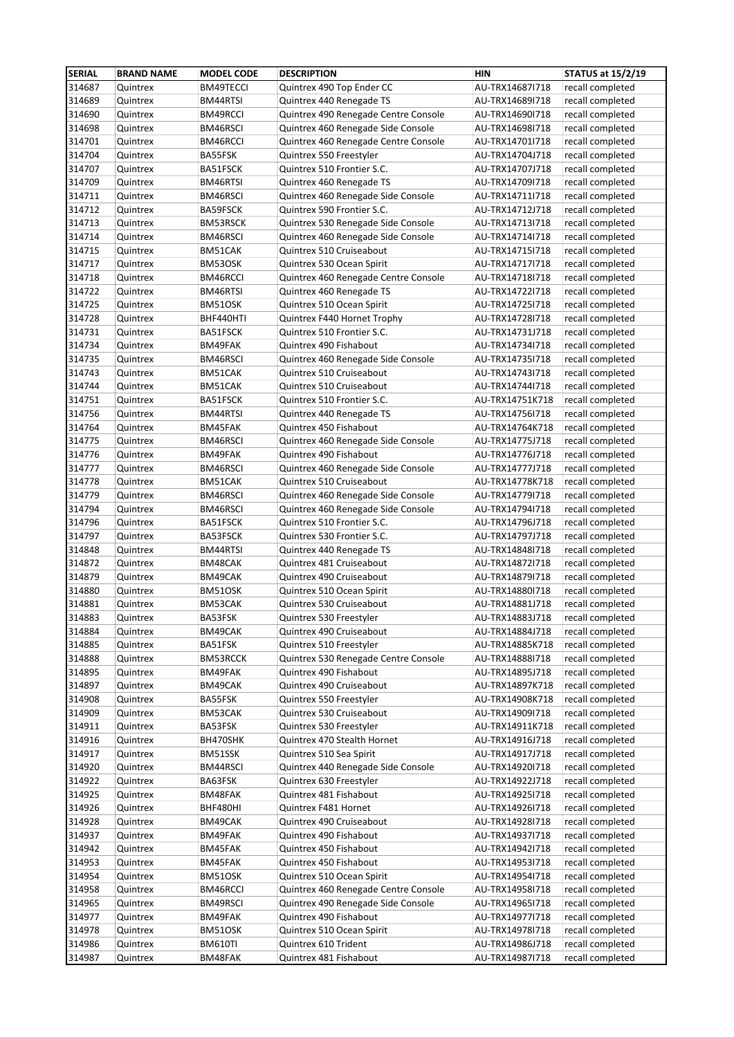| <b>SERIAL</b>    | <b>BRAND NAME</b>    | <b>MODEL CODE</b>    | <b>DESCRIPTION</b>                                           | <b>HIN</b>                         | <b>STATUS at 15/2/19</b>             |
|------------------|----------------------|----------------------|--------------------------------------------------------------|------------------------------------|--------------------------------------|
| 314687           | Quintrex             | BM49TECCI            | Quintrex 490 Top Ender CC                                    | AU-TRX14687I718                    | recall completed                     |
| 314689           | Quintrex             | <b>BM44RTSI</b>      | Quintrex 440 Renegade TS                                     | AU-TRX14689I718                    | recall completed                     |
| 314690           | Quintrex             | BM49RCCI             | Quintrex 490 Renegade Centre Console                         | AU-TRX14690I718                    | recall completed                     |
| 314698           | Quintrex             | BM46RSCI             | Quintrex 460 Renegade Side Console                           | AU-TRX14698I718                    | recall completed                     |
| 314701           | Quintrex             | BM46RCCI             | Quintrex 460 Renegade Centre Console                         | AU-TRX14701I718                    | recall completed                     |
| 314704           | Quintrex             | BA55FSK              | Quintrex 550 Freestyler                                      | AU-TRX14704J718                    | recall completed                     |
| 314707           | Quintrex             | BA51FSCK             | Quintrex 510 Frontier S.C.                                   | AU-TRX14707J718                    | recall completed                     |
| 314709           | Quintrex             | BM46RTSI             | Quintrex 460 Renegade TS                                     | AU-TRX14709I718                    | recall completed                     |
| 314711           | Quintrex             | BM46RSCI             | Quintrex 460 Renegade Side Console                           | AU-TRX14711I718                    | recall completed                     |
| 314712           | Quintrex             | BA59FSCK             | Quintrex 590 Frontier S.C.                                   | AU-TRX14712J718                    | recall completed                     |
| 314713           | Quintrex             | BM53RSCK             | Quintrex 530 Renegade Side Console                           | AU-TRX14713I718                    | recall completed                     |
| 314714           | Quintrex             | BM46RSCI             | Quintrex 460 Renegade Side Console                           | AU-TRX14714I718                    | recall completed                     |
| 314715           | Quintrex             | BM51CAK              | Quintrex 510 Cruiseabout                                     | AU-TRX14715I718                    | recall completed                     |
| 314717           | Quintrex             | BM53OSK              | Quintrex 530 Ocean Spirit                                    | AU-TRX14717I718                    | recall completed                     |
| 314718           | Quintrex             | BM46RCCI             | Quintrex 460 Renegade Centre Console                         | AU-TRX14718I718                    | recall completed                     |
| 314722           | Quintrex             | BM46RTSI             | Quintrex 460 Renegade TS                                     | AU-TRX14722I718                    | recall completed                     |
| 314725           | Quintrex             | BM51OSK              | Quintrex 510 Ocean Spirit                                    | AU-TRX147251718                    | recall completed                     |
| 314728           | Quintrex             | BHF440HTI            | Quintrex F440 Hornet Trophy                                  | AU-TRX14728I718                    | recall completed                     |
| 314731           | Quintrex             | BA51FSCK             | Quintrex 510 Frontier S.C.                                   | AU-TRX14731J718                    | recall completed                     |
| 314734           | Quintrex             | BM49FAK              | Quintrex 490 Fishabout                                       | AU-TRX14734I718                    | recall completed                     |
| 314735           | Quintrex             | BM46RSCI             | Quintrex 460 Renegade Side Console                           | AU-TRX147351718                    | recall completed                     |
| 314743<br>314744 | Quintrex             | BM51CAK<br>BM51CAK   | Quintrex 510 Cruiseabout<br>Quintrex 510 Cruiseabout         | AU-TRX14743I718<br>AU-TRX14744I718 | recall completed<br>recall completed |
|                  | Quintrex<br>Quintrex |                      |                                                              | AU-TRX14751K718                    |                                      |
| 314751<br>314756 | Quintrex             | BA51FSCK<br>BM44RTSI | Quintrex 510 Frontier S.C.<br>Quintrex 440 Renegade TS       | AU-TRX14756I718                    | recall completed<br>recall completed |
| 314764           | Quintrex             | BM45FAK              | Quintrex 450 Fishabout                                       | AU-TRX14764K718                    | recall completed                     |
| 314775           | Quintrex             | BM46RSCI             | Quintrex 460 Renegade Side Console                           | AU-TRX14775J718                    | recall completed                     |
| 314776           | Quintrex             | BM49FAK              | Quintrex 490 Fishabout                                       | AU-TRX14776J718                    | recall completed                     |
| 314777           | Quintrex             | BM46RSCI             | Quintrex 460 Renegade Side Console                           | AU-TRX14777J718                    | recall completed                     |
| 314778           | Quintrex             | BM51CAK              | Quintrex 510 Cruiseabout                                     | AU-TRX14778K718                    | recall completed                     |
| 314779           | Quintrex             | BM46RSCI             | Quintrex 460 Renegade Side Console                           | AU-TRX147791718                    | recall completed                     |
| 314794           | Quintrex             | BM46RSCI             | Quintrex 460 Renegade Side Console                           | AU-TRX14794I718                    | recall completed                     |
| 314796           | Quintrex             | BA51FSCK             | Quintrex 510 Frontier S.C.                                   | AU-TRX14796J718                    | recall completed                     |
| 314797           | Quintrex             | BA53FSCK             | Quintrex 530 Frontier S.C.                                   | AU-TRX14797J718                    | recall completed                     |
| 314848           | Quintrex             | BM44RTSI             | Quintrex 440 Renegade TS                                     | AU-TRX14848I718                    | recall completed                     |
| 314872           | Quintrex             | BM48CAK              | Quintrex 481 Cruiseabout                                     | AU-TRX14872I718                    | recall completed                     |
| 314879           | Quintrex             | BM49CAK              | Quintrex 490 Cruiseabout                                     | AU-TRX14879I718                    | recall completed                     |
| 314880           | Quintrex             | BM51OSK              | Quintrex 510 Ocean Spirit                                    | AU-TRX14880I718                    | recall completed                     |
| 314881           | Quintrex             | BM53CAK              | Quintrex 530 Cruiseabout                                     | AU-TRX14881J718                    | recall completed                     |
| 314883           | Quintrex             | BA53FSK              | Quintrex 530 Freestyler                                      | AU-TRX14883J718                    | recall completed                     |
| 314884           | Quintrex             | BM49CAK              | Quintrex 490 Cruiseabout                                     | AU-TRX14884J718                    | recall completed                     |
| 314885           | Quintrex             | BA51FSK              | Quintrex 510 Freestyler                                      | AU-TRX14885K718                    | recall completed                     |
| 314888           | Quintrex             | BM53RCCK             | Quintrex 530 Renegade Centre Console                         | AU-TRX14888I718                    | recall completed                     |
| 314895           | Quintrex             | BM49FAK              | Quintrex 490 Fishabout                                       | AU-TRX14895J718                    | recall completed                     |
| 314897           | Quintrex             | BM49CAK              | Quintrex 490 Cruiseabout                                     | AU-TRX14897K718                    | recall completed                     |
| 314908           | Quintrex             | BA55FSK              | Quintrex 550 Freestyler                                      | AU-TRX14908K718                    | recall completed                     |
| 314909           | Quintrex             | BM53CAK              | Quintrex 530 Cruiseabout                                     | AU-TRX14909I718                    | recall completed                     |
| 314911           | Quintrex             | BA53FSK              | Quintrex 530 Freestyler                                      | AU-TRX14911K718                    | recall completed                     |
| 314916           | Quintrex             | BH470SHK             | Quintrex 470 Stealth Hornet                                  | AU-TRX14916J718                    | recall completed                     |
| 314917           | Quintrex             | BM51SSK              | Quintrex 510 Sea Spirit                                      | AU-TRX14917J718                    | recall completed                     |
| 314920           | Quintrex             | BM44RSCI             | Quintrex 440 Renegade Side Console                           | AU-TRX14920I718                    | recall completed                     |
| 314922           | Quintrex             | BA63FSK              | Quintrex 630 Freestyler                                      | AU-TRX14922J718                    | recall completed                     |
| 314925           | Quintrex             | BM48FAK              | Quintrex 481 Fishabout                                       | AU-TRX14925I718                    | recall completed                     |
| 314926           | Quintrex             | BHF480HI             | Quintrex F481 Hornet                                         | AU-TRX14926I718                    | recall completed                     |
| 314928           | Quintrex             | BM49CAK              | Quintrex 490 Cruiseabout                                     | AU-TRX14928I718                    | recall completed                     |
| 314937           | Quintrex             | BM49FAK              | Quintrex 490 Fishabout                                       | AU-TRX14937I718                    | recall completed                     |
| 314942           | Quintrex             | BM45FAK              | Quintrex 450 Fishabout                                       | AU-TRX149421718                    | recall completed                     |
| 314953           | Quintrex             | BM45FAK              | Quintrex 450 Fishabout                                       | AU-TRX14953I718                    | recall completed                     |
| 314954           | Quintrex             | BM51OSK              | Quintrex 510 Ocean Spirit                                    | AU-TRX14954I718                    | recall completed                     |
| 314958<br>314965 | Quintrex             | BM46RCCI             | Quintrex 460 Renegade Centre Console                         | AU-TRX149581718                    | recall completed<br>recall completed |
| 314977           | Quintrex<br>Quintrex | BM49RSCI<br>BM49FAK  | Quintrex 490 Renegade Side Console<br>Quintrex 490 Fishabout | AU-TRX14965I718<br>AU-TRX14977I718 | recall completed                     |
| 314978           | Quintrex             | BM51OSK              | Quintrex 510 Ocean Spirit                                    | AU-TRX149781718                    | recall completed                     |
| 314986           | Quintrex             | <b>BM610TI</b>       | Quintrex 610 Trident                                         | AU-TRX14986J718                    | recall completed                     |
|                  |                      |                      |                                                              |                                    |                                      |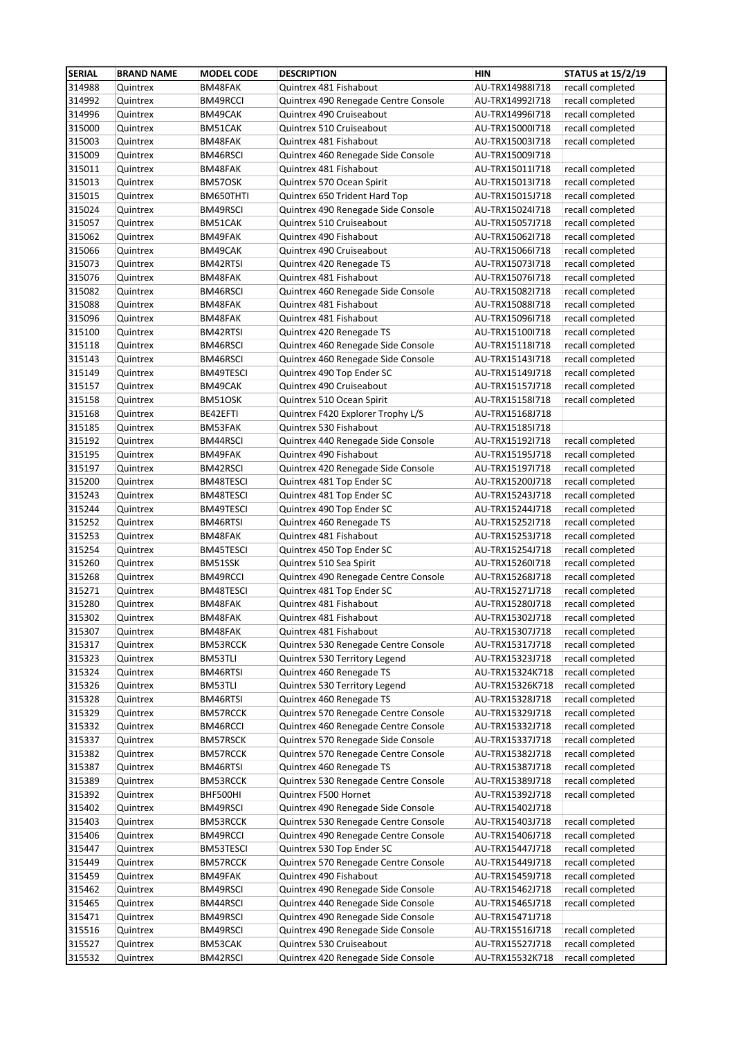| <b>SERIAL</b> | <b>BRAND NAME</b> | <b>MODEL CODE</b> | <b>DESCRIPTION</b>                   | <b>HIN</b>                         | <b>STATUS at 15/2/19</b>             |
|---------------|-------------------|-------------------|--------------------------------------|------------------------------------|--------------------------------------|
| 314988        | Quintrex          | BM48FAK           | Quintrex 481 Fishabout               | AU-TRX14988I718                    | recall completed                     |
| 314992        | Quintrex          | BM49RCCI          | Quintrex 490 Renegade Centre Console | AU-TRX14992I718                    | recall completed                     |
| 314996        | Quintrex          | BM49CAK           | Quintrex 490 Cruiseabout             | AU-TRX14996I718                    | recall completed                     |
| 315000        | Quintrex          | BM51CAK           | Quintrex 510 Cruiseabout             | AU-TRX15000I718                    | recall completed                     |
| 315003        | Quintrex          | BM48FAK           | Quintrex 481 Fishabout               | AU-TRX15003I718                    | recall completed                     |
| 315009        | Quintrex          | BM46RSCI          | Quintrex 460 Renegade Side Console   | AU-TRX15009I718                    |                                      |
| 315011        | Quintrex          | BM48FAK           | Quintrex 481 Fishabout               | AU-TRX15011I718                    | recall completed                     |
| 315013        | Quintrex          | BM57OSK           | Quintrex 570 Ocean Spirit            | AU-TRX15013I718                    | recall completed                     |
| 315015        | Quintrex          | BM650THTI         | Quintrex 650 Trident Hard Top        | AU-TRX15015J718                    | recall completed                     |
| 315024        | Quintrex          | BM49RSCI          | Quintrex 490 Renegade Side Console   | AU-TRX15024I718                    | recall completed                     |
| 315057        | Quintrex          | BM51CAK           | Quintrex 510 Cruiseabout             | AU-TRX15057J718                    | recall completed                     |
| 315062        | Quintrex          | BM49FAK           | Quintrex 490 Fishabout               | AU-TRX150621718                    | recall completed                     |
| 315066        | Quintrex          | BM49CAK           | Quintrex 490 Cruiseabout             | AU-TRX15066I718                    | recall completed                     |
| 315073        | Quintrex          | BM42RTSI          | Quintrex 420 Renegade TS             | AU-TRX15073I718                    | recall completed                     |
| 315076        | Quintrex          | BM48FAK           | Quintrex 481 Fishabout               | AU-TRX15076I718                    | recall completed                     |
| 315082        | Quintrex          | BM46RSCI          | Quintrex 460 Renegade Side Console   | AU-TRX15082I718                    | recall completed                     |
| 315088        | Quintrex          | BM48FAK           | Quintrex 481 Fishabout               | AU-TRX15088I718                    | recall completed                     |
| 315096        | Quintrex          | BM48FAK           | Quintrex 481 Fishabout               | AU-TRX15096I718                    | recall completed                     |
| 315100        | Quintrex          | BM42RTSI          | Quintrex 420 Renegade TS             | AU-TRX15100I718                    | recall completed                     |
| 315118        | Quintrex          | BM46RSCI          | Quintrex 460 Renegade Side Console   | AU-TRX15118l718                    | recall completed                     |
| 315143        | Quintrex          | BM46RSCI          | Quintrex 460 Renegade Side Console   | AU-TRX15143I718                    | recall completed                     |
| 315149        | Quintrex          | BM49TESCI         | Quintrex 490 Top Ender SC            | AU-TRX15149J718                    | recall completed                     |
| 315157        | Quintrex          | BM49CAK           | Quintrex 490 Cruiseabout             | AU-TRX15157J718                    | recall completed                     |
| 315158        | Quintrex          | BM51OSK           | Quintrex 510 Ocean Spirit            | AU-TRX15158I718                    | recall completed                     |
| 315168        | Quintrex          | BE42EFTI          | Quintrex F420 Explorer Trophy L/S    | AU-TRX15168J718                    |                                      |
| 315185        | Quintrex          | BM53FAK           | Quintrex 530 Fishabout               | AU-TRX15185I718                    |                                      |
| 315192        | Quintrex          | BM44RSCI          | Quintrex 440 Renegade Side Console   | AU-TRX15192I718                    | recall completed                     |
| 315195        | Quintrex          | BM49FAK           | Quintrex 490 Fishabout               | AU-TRX15195J718                    | recall completed                     |
| 315197        | Quintrex          | BM42RSCI          | Quintrex 420 Renegade Side Console   | AU-TRX15197I718                    | recall completed                     |
| 315200        | Quintrex          | BM48TESCI         | Quintrex 481 Top Ender SC            | AU-TRX15200J718                    | recall completed                     |
| 315243        | Quintrex          | BM48TESCI         | Quintrex 481 Top Ender SC            | AU-TRX15243J718                    | recall completed                     |
| 315244        | Quintrex          | BM49TESCI         | Quintrex 490 Top Ender SC            | AU-TRX15244J718                    | recall completed                     |
| 315252        | Quintrex          | BM46RTSI          | Quintrex 460 Renegade TS             | AU-TRX15252I718                    | recall completed                     |
| 315253        | Quintrex          | BM48FAK           | Quintrex 481 Fishabout               | AU-TRX15253J718                    | recall completed                     |
| 315254        | Quintrex          | BM45TESCI         | Quintrex 450 Top Ender SC            | AU-TRX15254J718                    | recall completed                     |
| 315260        | Quintrex          | BM51SSK           | Quintrex 510 Sea Spirit              | AU-TRX15260I718                    | recall completed                     |
| 315268        | Quintrex          | BM49RCCI          | Quintrex 490 Renegade Centre Console | AU-TRX15268J718                    | recall completed                     |
| 315271        | Quintrex          | BM48TESCI         | Quintrex 481 Top Ender SC            | AU-TRX15271J718                    | recall completed                     |
| 315280        | Quintrex          | BM48FAK           | Quintrex 481 Fishabout               | AU-TRX15280J718                    | recall completed                     |
| 315302        | Quintrex          | BM48FAK           | Quintrex 481 Fishabout               | AU-TRX15302J718                    | recall completed                     |
| 315307        | Quintrex          | BM48FAK           | Quintrex 481 Fishabout               | AU-TRX15307J718                    | recall completed                     |
| 315317        | Quintrex          | BM53RCCK          | Quintrex 530 Renegade Centre Console | AU-TRX15317J718                    | recall completed                     |
| 315323        | Quintrex          | BM53TLI           | Quintrex 530 Territory Legend        | AU-TRX15323J718                    | recall completed                     |
| 315324        | Quintrex          | BM46RTSI          | Quintrex 460 Renegade TS             | AU-TRX15324K718                    | recall completed                     |
| 315326        | Quintrex          | BM53TLI           | Quintrex 530 Territory Legend        | AU-TRX15326K718                    | recall completed                     |
| 315328        | Quintrex          | BM46RTSI          | Quintrex 460 Renegade TS             | AU-TRX15328J718                    | recall completed                     |
| 315329        | Quintrex          | BM57RCCK          | Quintrex 570 Renegade Centre Console | AU-TRX15329J718                    | recall completed                     |
| 315332        | Quintrex          | BM46RCCI          | Quintrex 460 Renegade Centre Console | AU-TRX15332J718                    | recall completed                     |
| 315337        | Quintrex          | BM57RSCK          | Quintrex 570 Renegade Side Console   | AU-TRX15337J718                    | recall completed                     |
| 315382        | Quintrex          | BM57RCCK          | Quintrex 570 Renegade Centre Console |                                    | recall completed                     |
| 315387        | Quintrex          | BM46RTSI          | Quintrex 460 Renegade TS             | AU-TRX15382J718<br>AU-TRX15387J718 | recall completed                     |
|               |                   |                   |                                      |                                    |                                      |
| 315389        | Quintrex          | BM53RCCK          | Quintrex 530 Renegade Centre Console | AU-TRX15389J718                    | recall completed                     |
| 315392        | Quintrex          | BHF500HI          | Quintrex F500 Hornet                 | AU-TRX15392J718                    | recall completed                     |
| 315402        | Quintrex          | BM49RSCI          | Quintrex 490 Renegade Side Console   | AU-TRX15402J718                    |                                      |
| 315403        | Quintrex          | BM53RCCK          | Quintrex 530 Renegade Centre Console | AU-TRX15403J718                    | recall completed<br>recall completed |
| 315406        | Quintrex          | BM49RCCI          | Quintrex 490 Renegade Centre Console | AU-TRX15406J718                    |                                      |
| 315447        | Quintrex          | BM53TESCI         | Quintrex 530 Top Ender SC            | AU-TRX15447J718                    | recall completed                     |
| 315449        | Quintrex          | BM57RCCK          | Quintrex 570 Renegade Centre Console | AU-TRX15449J718                    | recall completed                     |
| 315459        | Quintrex          | BM49FAK           | Quintrex 490 Fishabout               | AU-TRX15459J718                    | recall completed                     |
| 315462        | Quintrex          | BM49RSCI          | Quintrex 490 Renegade Side Console   | AU-TRX15462J718                    | recall completed                     |
| 315465        | Quintrex          | BM44RSCI          | Quintrex 440 Renegade Side Console   | AU-TRX15465J718                    | recall completed                     |
| 315471        | Quintrex          | BM49RSCI          | Quintrex 490 Renegade Side Console   | AU-TRX15471J718                    |                                      |
| 315516        | Quintrex          | BM49RSCI          | Quintrex 490 Renegade Side Console   | AU-TRX15516J718                    | recall completed                     |
| 315527        | Quintrex          | BM53CAK           | Quintrex 530 Cruiseabout             | AU-TRX15527J718                    | recall completed                     |
| 315532        | Quintrex          | BM42RSCI          | Quintrex 420 Renegade Side Console   | AU-TRX15532K718                    | recall completed                     |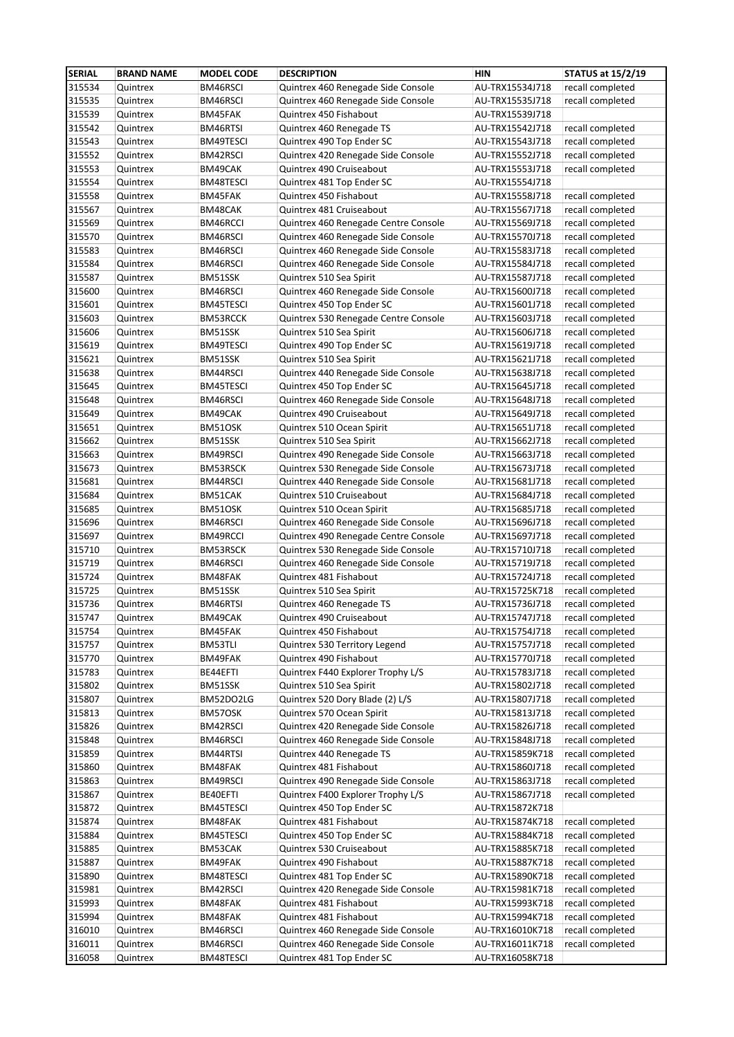| <b>SERIAL</b>    | <b>BRAND NAME</b>    | <b>MODEL CODE</b>    | <b>DESCRIPTION</b>                                           | <b>HIN</b>                         | <b>STATUS at 15/2/19</b>             |
|------------------|----------------------|----------------------|--------------------------------------------------------------|------------------------------------|--------------------------------------|
| 315534           | Quintrex             | BM46RSCI             | Quintrex 460 Renegade Side Console                           | AU-TRX15534J718                    | recall completed                     |
| 315535           | Quintrex             | BM46RSCI             | Quintrex 460 Renegade Side Console                           | AU-TRX15535J718                    | recall completed                     |
| 315539           | Quintrex             | BM45FAK              | Quintrex 450 Fishabout                                       | AU-TRX15539J718                    |                                      |
| 315542           | Quintrex             | BM46RTSI             | Quintrex 460 Renegade TS                                     | AU-TRX15542J718                    | recall completed                     |
| 315543           | Quintrex             | BM49TESCI            | Quintrex 490 Top Ender SC                                    | AU-TRX15543J718                    | recall completed                     |
| 315552           | Quintrex             | BM42RSCI             | Quintrex 420 Renegade Side Console                           | AU-TRX15552J718                    | recall completed                     |
| 315553           | Quintrex             | BM49CAK              | Quintrex 490 Cruiseabout                                     | AU-TRX15553J718                    | recall completed                     |
| 315554           | Quintrex             | BM48TESCI            | Quintrex 481 Top Ender SC                                    | AU-TRX15554J718                    |                                      |
| 315558           | Quintrex             | BM45FAK              | Quintrex 450 Fishabout                                       | AU-TRX15558J718                    | recall completed                     |
| 315567           | Quintrex             | BM48CAK              | Quintrex 481 Cruiseabout                                     | AU-TRX15567J718                    | recall completed                     |
| 315569           | Quintrex             | BM46RCCI             | Quintrex 460 Renegade Centre Console                         | AU-TRX15569J718                    | recall completed                     |
| 315570           | Quintrex             | BM46RSCI             | Quintrex 460 Renegade Side Console                           | AU-TRX15570J718                    | recall completed                     |
| 315583           | Quintrex             | BM46RSCI             | Quintrex 460 Renegade Side Console                           | AU-TRX15583J718                    | recall completed                     |
| 315584           | Quintrex             | BM46RSCI             | Quintrex 460 Renegade Side Console                           | AU-TRX15584J718                    | recall completed                     |
| 315587           | Quintrex             | BM51SSK              | Quintrex 510 Sea Spirit                                      | AU-TRX15587J718                    | recall completed                     |
| 315600           | Quintrex             | BM46RSCI             | Quintrex 460 Renegade Side Console                           | AU-TRX15600J718                    | recall completed                     |
| 315601           | Quintrex             | BM45TESCI            | Quintrex 450 Top Ender SC                                    | AU-TRX15601J718                    | recall completed                     |
| 315603           | Quintrex             | BM53RCCK             | Quintrex 530 Renegade Centre Console                         | AU-TRX15603J718                    | recall completed                     |
| 315606           | Quintrex             | BM51SSK              | Quintrex 510 Sea Spirit                                      | AU-TRX15606J718                    | recall completed                     |
| 315619           | Quintrex             | BM49TESCI            | Quintrex 490 Top Ender SC                                    | AU-TRX15619J718                    | recall completed                     |
| 315621           | Quintrex             | BM51SSK              | Quintrex 510 Sea Spirit                                      | AU-TRX15621J718                    | recall completed                     |
| 315638           | Quintrex             | BM44RSCI             | Quintrex 440 Renegade Side Console                           | AU-TRX15638J718                    | recall completed                     |
| 315645           | Quintrex             | BM45TESCI            | Quintrex 450 Top Ender SC                                    | AU-TRX15645J718                    | recall completed                     |
| 315648           | Quintrex             | BM46RSCI             | Quintrex 460 Renegade Side Console                           | AU-TRX15648J718                    | recall completed                     |
| 315649           | Quintrex             | BM49CAK              | Quintrex 490 Cruiseabout                                     | AU-TRX15649J718                    | recall completed                     |
| 315651           | Quintrex             | BM51OSK              | Quintrex 510 Ocean Spirit                                    | AU-TRX15651J718                    | recall completed                     |
| 315662           | Quintrex             | BM51SSK              | Quintrex 510 Sea Spirit                                      | AU-TRX15662J718                    | recall completed                     |
| 315663           | Quintrex             | BM49RSCI             | Quintrex 490 Renegade Side Console                           | AU-TRX15663J718                    | recall completed                     |
| 315673           | Quintrex             | BM53RSCK             | Quintrex 530 Renegade Side Console                           | AU-TRX15673J718                    | recall completed                     |
| 315681           | Quintrex             | BM44RSCI             | Quintrex 440 Renegade Side Console                           | AU-TRX15681J718                    | recall completed                     |
| 315684           | Quintrex             | BM51CAK              | Quintrex 510 Cruiseabout                                     | AU-TRX15684J718                    | recall completed                     |
| 315685           | Quintrex             | BM51OSK              | Quintrex 510 Ocean Spirit                                    | AU-TRX15685J718                    | recall completed                     |
| 315696           | Quintrex             | BM46RSCI             | Quintrex 460 Renegade Side Console                           | AU-TRX15696J718                    | recall completed                     |
| 315697           | Quintrex             | BM49RCCI             | Quintrex 490 Renegade Centre Console                         | AU-TRX15697J718                    | recall completed                     |
| 315710           | Quintrex             | BM53RSCK             | Quintrex 530 Renegade Side Console                           | AU-TRX15710J718                    | recall completed                     |
| 315719           | Quintrex             | BM46RSCI             | Quintrex 460 Renegade Side Console                           | AU-TRX15719J718                    | recall completed                     |
| 315724           | Quintrex             | BM48FAK              | Quintrex 481 Fishabout                                       | AU-TRX15724J718                    | recall completed                     |
| 315725           | Quintrex             | BM51SSK              | Quintrex 510 Sea Spirit                                      | AU-TRX15725K718                    | recall completed                     |
| 315736           | Quintrex             | BM46RTSI             | Quintrex 460 Renegade TS                                     | AU-TRX15736J718                    | recall completed                     |
| 315747           | Quintrex             | BM49CAK              | Quintrex 490 Cruiseabout                                     | AU-TRX15747J718                    | recall completed                     |
| 315754           | Quintrex             | BM45FAK              | Quintrex 450 Fishabout                                       | AU-TRX15754J718                    | recall completed                     |
| 315757           | Quintrex             | BM53TLI              | Quintrex 530 Territory Legend                                | AU-TRX15757J718                    | recall completed                     |
| 315770           | Quintrex             | BM49FAK              | Quintrex 490 Fishabout                                       | AU-TRX15770J718                    | recall completed                     |
| 315783           | Quintrex             | BE44EFTI             | Quintrex F440 Explorer Trophy L/S                            | AU-TRX15783J718                    | recall completed                     |
| 315802           | Quintrex             | BM51SSK              | Quintrex 510 Sea Spirit                                      | AU-TRX15802J718                    | recall completed                     |
| 315807<br>315813 | Quintrex<br>Quintrex | BM52DO2LG<br>BM57OSK | Quintrex 520 Dory Blade (2) L/S<br>Quintrex 570 Ocean Spirit | AU-TRX15807J718<br>AU-TRX15813J718 | recall completed<br>recall completed |
| 315826           | Quintrex             | BM42RSCI             | Quintrex 420 Renegade Side Console                           | AU-TRX15826J718                    | recall completed                     |
| 315848           | Quintrex             | BM46RSCI             | Quintrex 460 Renegade Side Console                           | AU-TRX15848J718                    | recall completed                     |
| 315859           | Quintrex             | BM44RTSI             | Quintrex 440 Renegade TS                                     | AU-TRX15859K718                    | recall completed                     |
| 315860           | Quintrex             | BM48FAK              | Quintrex 481 Fishabout                                       | AU-TRX15860J718                    | recall completed                     |
| 315863           | Quintrex             | BM49RSCI             | Quintrex 490 Renegade Side Console                           | AU-TRX15863J718                    | recall completed                     |
| 315867           | Quintrex             | BE40EFTI             | Quintrex F400 Explorer Trophy L/S                            | AU-TRX15867J718                    | recall completed                     |
| 315872           | Quintrex             | BM45TESCI            | Quintrex 450 Top Ender SC                                    | AU-TRX15872K718                    |                                      |
| 315874           | Quintrex             | BM48FAK              | Quintrex 481 Fishabout                                       | AU-TRX15874K718                    | recall completed                     |
| 315884           | Quintrex             | BM45TESCI            | Quintrex 450 Top Ender SC                                    | AU-TRX15884K718                    | recall completed                     |
| 315885           | Quintrex             | BM53CAK              | Quintrex 530 Cruiseabout                                     | AU-TRX15885K718                    | recall completed                     |
| 315887           | Quintrex             | BM49FAK              | Quintrex 490 Fishabout                                       | AU-TRX15887K718                    | recall completed                     |
| 315890           | Quintrex             | BM48TESCI            | Quintrex 481 Top Ender SC                                    | AU-TRX15890K718                    | recall completed                     |
| 315981           | Quintrex             | BM42RSCI             | Quintrex 420 Renegade Side Console                           | AU-TRX15981K718                    | recall completed                     |
| 315993           | Quintrex             | BM48FAK              | Quintrex 481 Fishabout                                       | AU-TRX15993K718                    | recall completed                     |
| 315994           | Quintrex             | BM48FAK              | Quintrex 481 Fishabout                                       | AU-TRX15994K718                    | recall completed                     |
| 316010           | Quintrex             | BM46RSCI             | Quintrex 460 Renegade Side Console                           | AU-TRX16010K718                    | recall completed                     |
| 316011           | Quintrex             | BM46RSCI             | Quintrex 460 Renegade Side Console                           | AU-TRX16011K718                    | recall completed                     |
| 316058           | Quintrex             | BM48TESCI            | Quintrex 481 Top Ender SC                                    | AU-TRX16058K718                    |                                      |